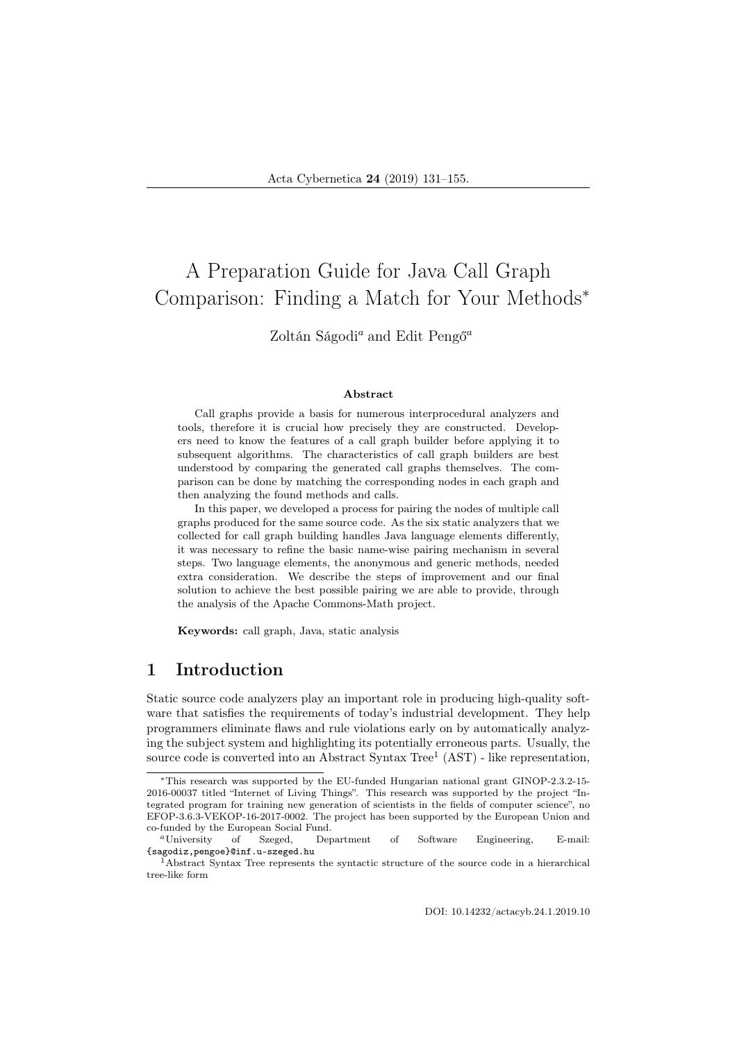# A Preparation Guide for Java Call Graph Comparison: Finding a Match for Your Methods<sup>∗</sup>

Zoltán Ságodi<sup>a</sup> and Edit Pengő<sup>a</sup>

#### Abstract

Call graphs provide a basis for numerous interprocedural analyzers and tools, therefore it is crucial how precisely they are constructed. Developers need to know the features of a call graph builder before applying it to subsequent algorithms. The characteristics of call graph builders are best understood by comparing the generated call graphs themselves. The comparison can be done by matching the corresponding nodes in each graph and then analyzing the found methods and calls.

In this paper, we developed a process for pairing the nodes of multiple call graphs produced for the same source code. As the six static analyzers that we collected for call graph building handles Java language elements differently, it was necessary to refine the basic name-wise pairing mechanism in several steps. Two language elements, the anonymous and generic methods, needed extra consideration. We describe the steps of improvement and our final solution to achieve the best possible pairing we are able to provide, through the analysis of the Apache Commons-Math project.

Keywords: call graph, Java, static analysis

# 1 Introduction

Static source code analyzers play an important role in producing high-quality software that satisfies the requirements of today's industrial development. They help programmers eliminate flaws and rule violations early on by automatically analyzing the subject system and highlighting its potentially erroneous parts. Usually, the source code is converted into an Abstract Syntax Tree<sup>1</sup> (AST) - like representation,

DOI: 10.14232/actacyb.24.1.2019.10

<sup>∗</sup>This research was supported by the EU-funded Hungarian national grant GINOP-2.3.2-15- 2016-00037 titled "Internet of Living Things". This research was supported by the project "Integrated program for training new generation of scientists in the fields of computer science", no EFOP-3.6.3-VEKOP-16-2017-0002. The project has been supported by the European Union and co-funded by the European Social Fund.

<sup>a</sup>University of Szeged, Department of Software Engineering, E-mail: {sagodiz,pengoe}@inf.u-szeged.hu

<sup>1</sup>Abstract Syntax Tree represents the syntactic structure of the source code in a hierarchical tree-like form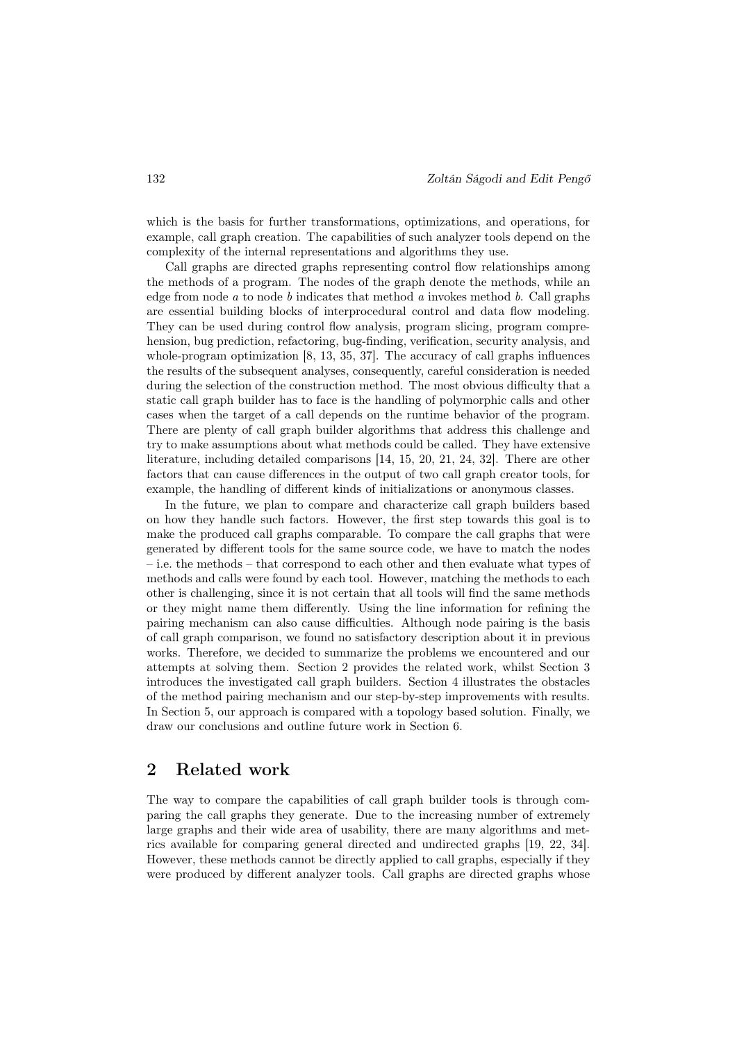which is the basis for further transformations, optimizations, and operations, for example, call graph creation. The capabilities of such analyzer tools depend on the complexity of the internal representations and algorithms they use.

Call graphs are directed graphs representing control flow relationships among the methods of a program. The nodes of the graph denote the methods, while an edge from node  $a$  to node  $b$  indicates that method  $a$  invokes method  $b$ . Call graphs are essential building blocks of interprocedural control and data flow modeling. They can be used during control flow analysis, program slicing, program comprehension, bug prediction, refactoring, bug-finding, verification, security analysis, and whole-program optimization [8, 13, 35, 37]. The accuracy of call graphs influences the results of the subsequent analyses, consequently, careful consideration is needed during the selection of the construction method. The most obvious difficulty that a static call graph builder has to face is the handling of polymorphic calls and other cases when the target of a call depends on the runtime behavior of the program. There are plenty of call graph builder algorithms that address this challenge and try to make assumptions about what methods could be called. They have extensive literature, including detailed comparisons [14, 15, 20, 21, 24, 32]. There are other factors that can cause differences in the output of two call graph creator tools, for example, the handling of different kinds of initializations or anonymous classes.

In the future, we plan to compare and characterize call graph builders based on how they handle such factors. However, the first step towards this goal is to make the produced call graphs comparable. To compare the call graphs that were generated by different tools for the same source code, we have to match the nodes – i.e. the methods – that correspond to each other and then evaluate what types of methods and calls were found by each tool. However, matching the methods to each other is challenging, since it is not certain that all tools will find the same methods or they might name them differently. Using the line information for refining the pairing mechanism can also cause difficulties. Although node pairing is the basis of call graph comparison, we found no satisfactory description about it in previous works. Therefore, we decided to summarize the problems we encountered and our attempts at solving them. Section 2 provides the related work, whilst Section 3 introduces the investigated call graph builders. Section 4 illustrates the obstacles of the method pairing mechanism and our step-by-step improvements with results. In Section 5, our approach is compared with a topology based solution. Finally, we draw our conclusions and outline future work in Section 6.

# 2 Related work

The way to compare the capabilities of call graph builder tools is through comparing the call graphs they generate. Due to the increasing number of extremely large graphs and their wide area of usability, there are many algorithms and metrics available for comparing general directed and undirected graphs [19, 22, 34]. However, these methods cannot be directly applied to call graphs, especially if they were produced by different analyzer tools. Call graphs are directed graphs whose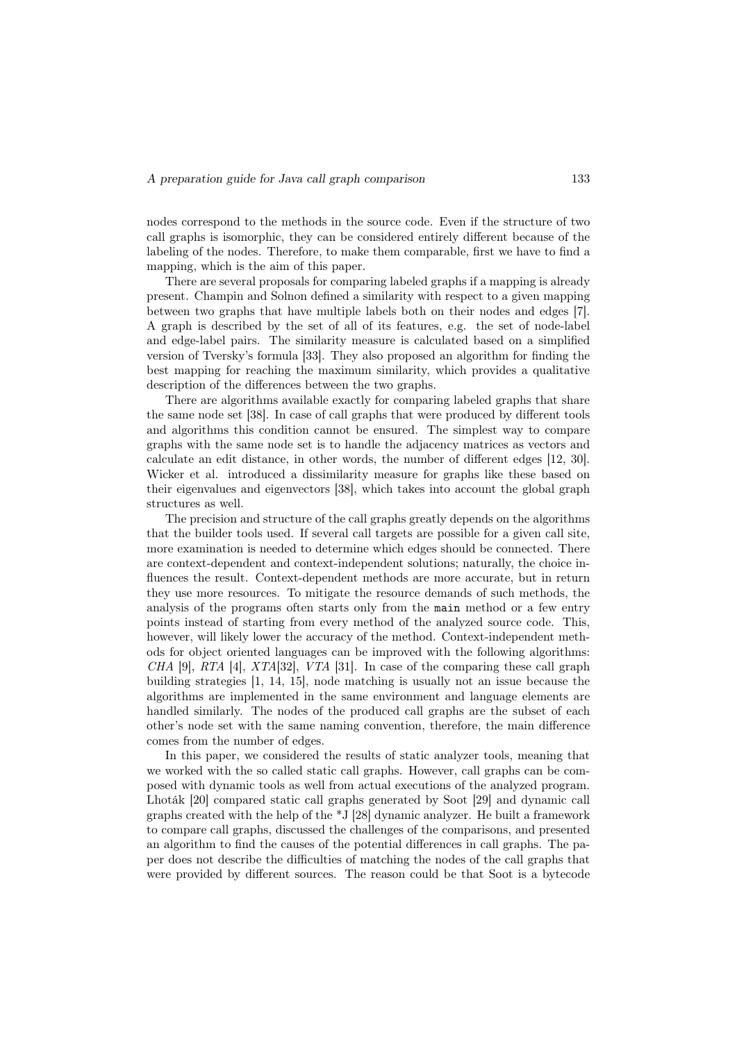nodes correspond to the methods in the source code. Even if the structure of two call graphs is isomorphic, they can be considered entirely different because of the labeling of the nodes. Therefore, to make them comparable, first we have to find a mapping, which is the aim of this paper.

There are several proposals for comparing labeled graphs if a mapping is already present. Champin and Solnon defined a similarity with respect to a given mapping between two graphs that have multiple labels both on their nodes and edges [7]. A graph is described by the set of all of its features, e.g. the set of node-label and edge-label pairs. The similarity measure is calculated based on a simplified version of Tversky's formula [33]. They also proposed an algorithm for finding the best mapping for reaching the maximum similarity, which provides a qualitative description of the differences between the two graphs.

There are algorithms available exactly for comparing labeled graphs that share the same node set [38]. In case of call graphs that were produced by different tools and algorithms this condition cannot be ensured. The simplest way to compare graphs with the same node set is to handle the adjacency matrices as vectors and calculate an edit distance, in other words, the number of different edges [12, 30]. Wicker et al. introduced a dissimilarity measure for graphs like these based on their eigenvalues and eigenvectors [38], which takes into account the global graph structures as well.

The precision and structure of the call graphs greatly depends on the algorithms that the builder tools used. If several call targets are possible for a given call site, more examination is needed to determine which edges should be connected. There are context-dependent and context-independent solutions; naturally, the choice influences the result. Context-dependent methods are more accurate, but in return they use more resources. To mitigate the resource demands of such methods, the analysis of the programs often starts only from the main method or a few entry points instead of starting from every method of the analyzed source code. This, however, will likely lower the accuracy of the method. Context-independent methods for object oriented languages can be improved with the following algorithms: CHA [9], RTA [4], XTA[32], VTA [31]. In case of the comparing these call graph building strategies [1, 14, 15], node matching is usually not an issue because the algorithms are implemented in the same environment and language elements are handled similarly. The nodes of the produced call graphs are the subset of each other's node set with the same naming convention, therefore, the main difference comes from the number of edges.

In this paper, we considered the results of static analyzer tools, meaning that we worked with the so called static call graphs. However, call graphs can be composed with dynamic tools as well from actual executions of the analyzed program. Lhoták [20] compared static call graphs generated by Soot [29] and dynamic call graphs created with the help of the \*J [28] dynamic analyzer. He built a framework to compare call graphs, discussed the challenges of the comparisons, and presented an algorithm to find the causes of the potential differences in call graphs. The paper does not describe the difficulties of matching the nodes of the call graphs that were provided by different sources. The reason could be that Soot is a bytecode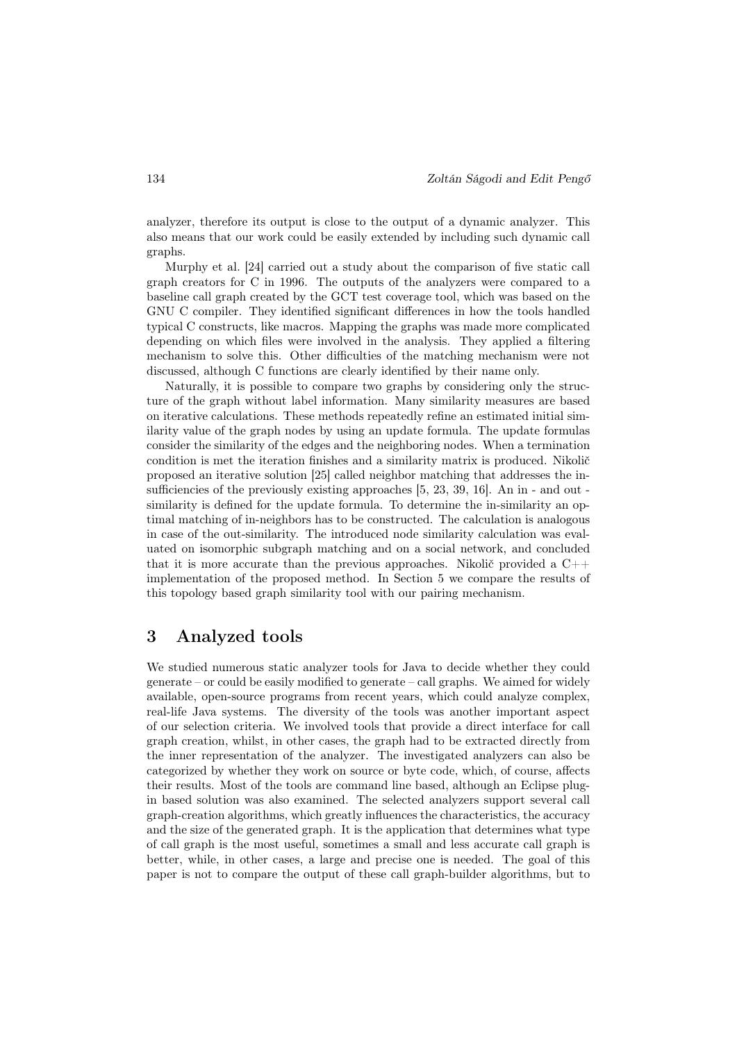analyzer, therefore its output is close to the output of a dynamic analyzer. This also means that our work could be easily extended by including such dynamic call graphs.

Murphy et al. [24] carried out a study about the comparison of five static call graph creators for C in 1996. The outputs of the analyzers were compared to a baseline call graph created by the GCT test coverage tool, which was based on the GNU C compiler. They identified significant differences in how the tools handled typical C constructs, like macros. Mapping the graphs was made more complicated depending on which files were involved in the analysis. They applied a filtering mechanism to solve this. Other difficulties of the matching mechanism were not discussed, although C functions are clearly identified by their name only.

Naturally, it is possible to compare two graphs by considering only the structure of the graph without label information. Many similarity measures are based on iterative calculations. These methods repeatedly refine an estimated initial similarity value of the graph nodes by using an update formula. The update formulas consider the similarity of the edges and the neighboring nodes. When a termination condition is met the iteration finishes and a similarity matrix is produced. Nikolič proposed an iterative solution [25] called neighbor matching that addresses the insufficiencies of the previously existing approaches [5, 23, 39, 16]. An in - and out similarity is defined for the update formula. To determine the in-similarity an optimal matching of in-neighbors has to be constructed. The calculation is analogous in case of the out-similarity. The introduced node similarity calculation was evaluated on isomorphic subgraph matching and on a social network, and concluded that it is more accurate than the previous approaches. Nikolič provided a  $C_{++}$ implementation of the proposed method. In Section 5 we compare the results of this topology based graph similarity tool with our pairing mechanism.

## 3 Analyzed tools

We studied numerous static analyzer tools for Java to decide whether they could generate – or could be easily modified to generate – call graphs. We aimed for widely available, open-source programs from recent years, which could analyze complex, real-life Java systems. The diversity of the tools was another important aspect of our selection criteria. We involved tools that provide a direct interface for call graph creation, whilst, in other cases, the graph had to be extracted directly from the inner representation of the analyzer. The investigated analyzers can also be categorized by whether they work on source or byte code, which, of course, affects their results. Most of the tools are command line based, although an Eclipse plugin based solution was also examined. The selected analyzers support several call graph-creation algorithms, which greatly influences the characteristics, the accuracy and the size of the generated graph. It is the application that determines what type of call graph is the most useful, sometimes a small and less accurate call graph is better, while, in other cases, a large and precise one is needed. The goal of this paper is not to compare the output of these call graph-builder algorithms, but to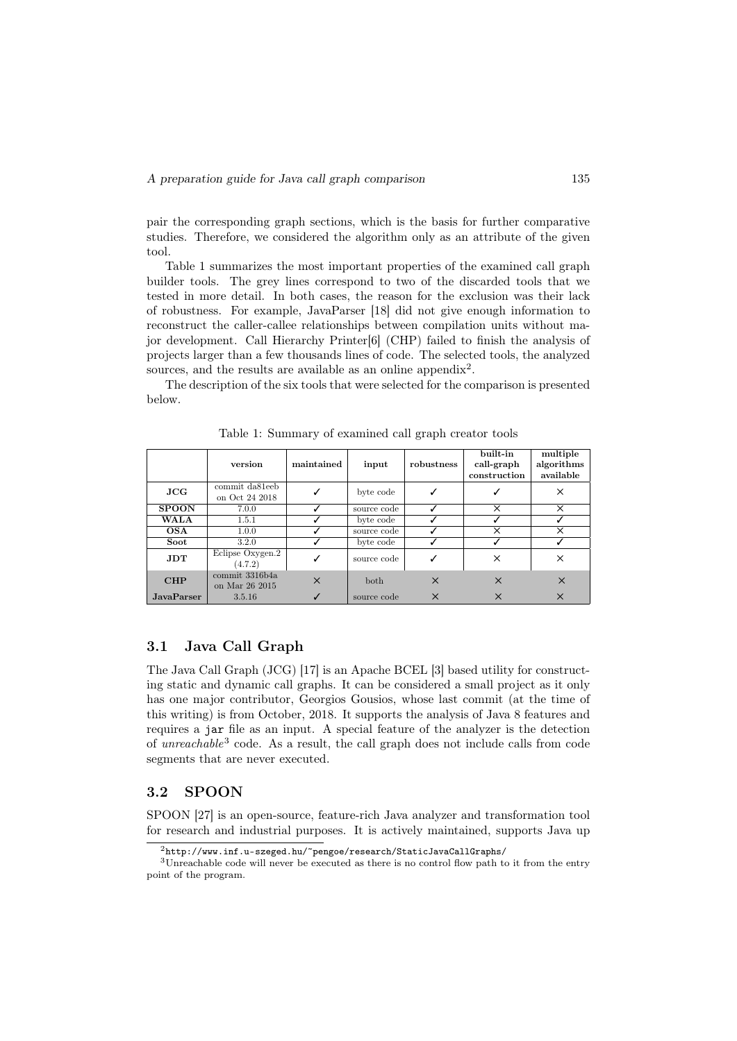pair the corresponding graph sections, which is the basis for further comparative studies. Therefore, we considered the algorithm only as an attribute of the given tool.

Table 1 summarizes the most important properties of the examined call graph builder tools. The grey lines correspond to two of the discarded tools that we tested in more detail. In both cases, the reason for the exclusion was their lack of robustness. For example, JavaParser [18] did not give enough information to reconstruct the caller-callee relationships between compilation units without major development. Call Hierarchy Printer[6] (CHP) failed to finish the analysis of projects larger than a few thousands lines of code. The selected tools, the analyzed sources, and the results are available as an online appendix<sup>2</sup>.

The description of the six tools that were selected for the comparison is presented below.

|                   | version                          | maintained | input       | robustness | built-in<br>call-graph<br>construction | multiple<br>algorithms<br>available |
|-------------------|----------------------------------|------------|-------------|------------|----------------------------------------|-------------------------------------|
| JCG               | commit da81eeb<br>on Oct 24 2018 |            | byte code   |            |                                        | ×                                   |
| <b>SPOON</b>      | 7.0.0                            |            | source code |            | ×                                      | X                                   |
| <b>WALA</b>       | 1.5.1                            |            | byte code   |            |                                        |                                     |
| <b>OSA</b>        | 1.0.0                            |            | source code |            | ×                                      | X                                   |
| Soot              | 3.2.0                            |            | byte code   |            |                                        |                                     |
| <b>JDT</b>        | Eclipse Oxygen.2<br>(4.7.2)      | ✓          | source code | ✓          | ×                                      | X                                   |
| <b>CHP</b>        | commit 3316b4a<br>on Mar 26 2015 | $\times$   | <b>both</b> | $\times$   | $\times$                               | $\times$                            |
| <b>JavaParser</b> | 3.5.16                           |            | source code | $\times$   | $\times$                               | $\times$                            |

Table 1: Summary of examined call graph creator tools

### 3.1 Java Call Graph

The Java Call Graph (JCG) [17] is an Apache BCEL [3] based utility for constructing static and dynamic call graphs. It can be considered a small project as it only has one major contributor, Georgios Gousios, whose last commit (at the time of this writing) is from October, 2018. It supports the analysis of Java 8 features and requires a jar file as an input. A special feature of the analyzer is the detection of unreachable<sup>3</sup> code. As a result, the call graph does not include calls from code segments that are never executed.

#### 3.2 SPOON

SPOON [27] is an open-source, feature-rich Java analyzer and transformation tool for research and industrial purposes. It is actively maintained, supports Java up

<sup>2</sup>http://www.inf.u-szeged.hu/~pengoe/research/StaticJavaCallGraphs/

<sup>3</sup>Unreachable code will never be executed as there is no control flow path to it from the entry point of the program.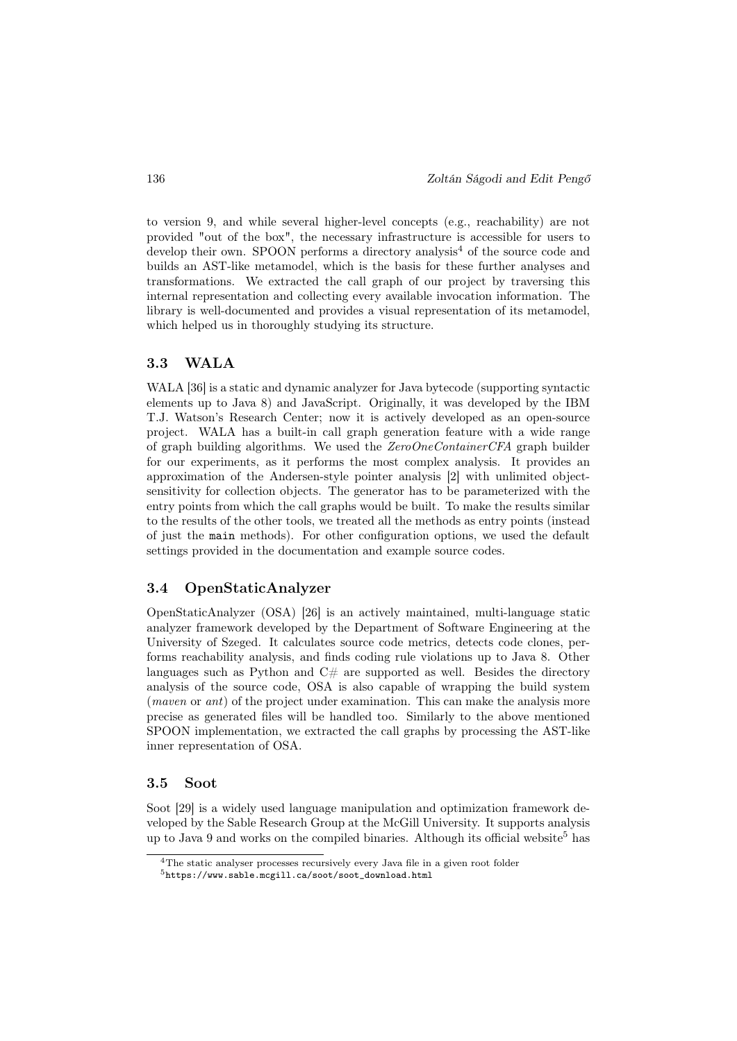to version 9, and while several higher-level concepts (e.g., reachability) are not provided "out of the box", the necessary infrastructure is accessible for users to develop their own. SPOON performs a directory analysis<sup>4</sup> of the source code and builds an AST-like metamodel, which is the basis for these further analyses and transformations. We extracted the call graph of our project by traversing this internal representation and collecting every available invocation information. The library is well-documented and provides a visual representation of its metamodel, which helped us in thoroughly studying its structure.

#### 3.3 WALA

WALA [36] is a static and dynamic analyzer for Java bytecode (supporting syntactic elements up to Java 8) and JavaScript. Originally, it was developed by the IBM T.J. Watson's Research Center; now it is actively developed as an open-source project. WALA has a built-in call graph generation feature with a wide range of graph building algorithms. We used the ZeroOneContainerCFA graph builder for our experiments, as it performs the most complex analysis. It provides an approximation of the Andersen-style pointer analysis [2] with unlimited objectsensitivity for collection objects. The generator has to be parameterized with the entry points from which the call graphs would be built. To make the results similar to the results of the other tools, we treated all the methods as entry points (instead of just the main methods). For other configuration options, we used the default settings provided in the documentation and example source codes.

#### 3.4 OpenStaticAnalyzer

OpenStaticAnalyzer (OSA) [26] is an actively maintained, multi-language static analyzer framework developed by the Department of Software Engineering at the University of Szeged. It calculates source code metrics, detects code clones, performs reachability analysis, and finds coding rule violations up to Java 8. Other languages such as Python and  $C#$  are supported as well. Besides the directory analysis of the source code, OSA is also capable of wrapping the build system (maven or ant) of the project under examination. This can make the analysis more precise as generated files will be handled too. Similarly to the above mentioned SPOON implementation, we extracted the call graphs by processing the AST-like inner representation of OSA.

#### 3.5 Soot

Soot [29] is a widely used language manipulation and optimization framework developed by the Sable Research Group at the McGill University. It supports analysis up to Java 9 and works on the compiled binaries. Although its official website<sup>5</sup> has

<sup>4</sup>The static analyser processes recursively every Java file in a given root folder

 $5$ https://www.sable.mcgill.ca/soot/soot\_download.html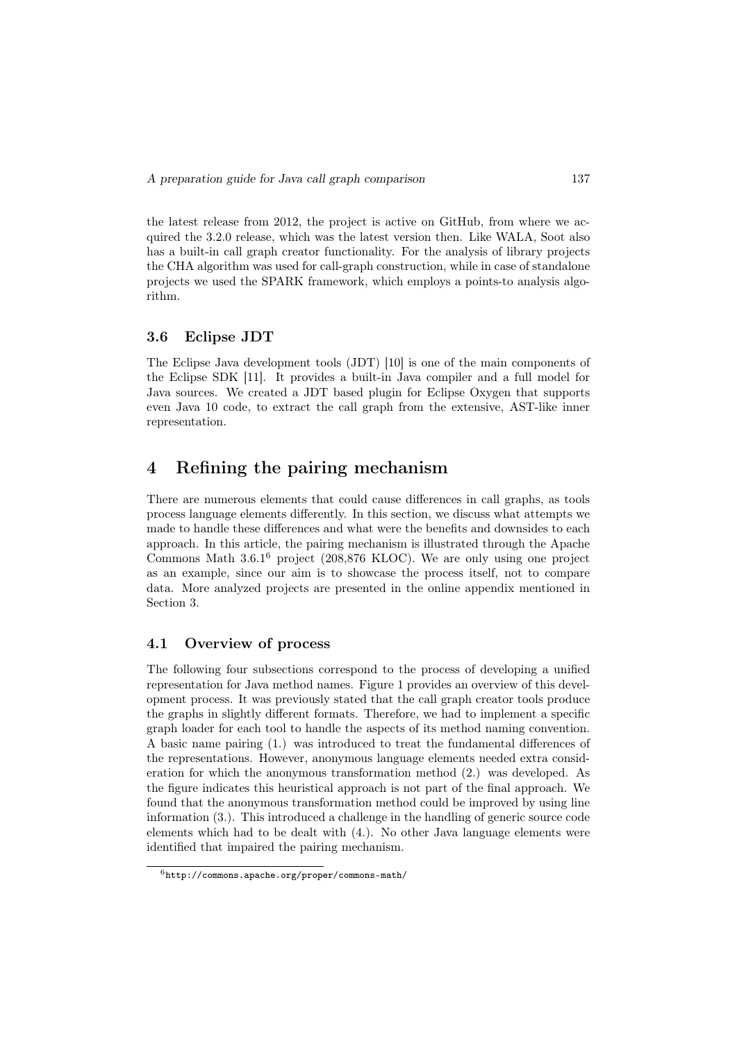the latest release from 2012, the project is active on GitHub, from where we acquired the 3.2.0 release, which was the latest version then. Like WALA, Soot also has a built-in call graph creator functionality. For the analysis of library projects the CHA algorithm was used for call-graph construction, while in case of standalone projects we used the SPARK framework, which employs a points-to analysis algorithm.

#### 3.6 Eclipse JDT

The Eclipse Java development tools (JDT) [10] is one of the main components of the Eclipse SDK [11]. It provides a built-in Java compiler and a full model for Java sources. We created a JDT based plugin for Eclipse Oxygen that supports even Java 10 code, to extract the call graph from the extensive, AST-like inner representation.

# 4 Refining the pairing mechanism

There are numerous elements that could cause differences in call graphs, as tools process language elements differently. In this section, we discuss what attempts we made to handle these differences and what were the benefits and downsides to each approach. In this article, the pairing mechanism is illustrated through the Apache Commons Math 3.6.1<sup>6</sup> project (208,876 KLOC). We are only using one project as an example, since our aim is to showcase the process itself, not to compare data. More analyzed projects are presented in the online appendix mentioned in Section 3.

#### 4.1 Overview of process

The following four subsections correspond to the process of developing a unified representation for Java method names. Figure 1 provides an overview of this development process. It was previously stated that the call graph creator tools produce the graphs in slightly different formats. Therefore, we had to implement a specific graph loader for each tool to handle the aspects of its method naming convention. A basic name pairing (1.) was introduced to treat the fundamental differences of the representations. However, anonymous language elements needed extra consideration for which the anonymous transformation method (2.) was developed. As the figure indicates this heuristical approach is not part of the final approach. We found that the anonymous transformation method could be improved by using line information (3.). This introduced a challenge in the handling of generic source code elements which had to be dealt with (4.). No other Java language elements were identified that impaired the pairing mechanism.

 $6$ http://commons.apache.org/proper/commons-math/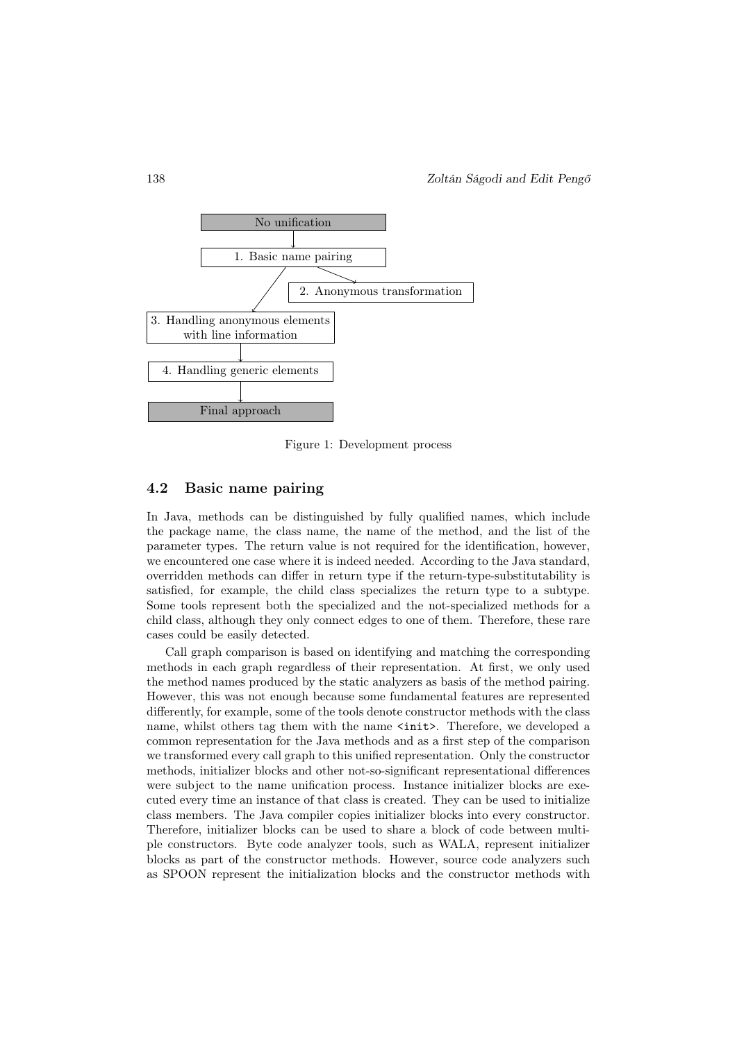

Figure 1: Development process

#### 4.2 Basic name pairing

In Java, methods can be distinguished by fully qualified names, which include the package name, the class name, the name of the method, and the list of the parameter types. The return value is not required for the identification, however, we encountered one case where it is indeed needed. According to the Java standard, overridden methods can differ in return type if the return-type-substitutability is satisfied, for example, the child class specializes the return type to a subtype. Some tools represent both the specialized and the not-specialized methods for a child class, although they only connect edges to one of them. Therefore, these rare cases could be easily detected.

Call graph comparison is based on identifying and matching the corresponding methods in each graph regardless of their representation. At first, we only used the method names produced by the static analyzers as basis of the method pairing. However, this was not enough because some fundamental features are represented differently, for example, some of the tools denote constructor methods with the class name, whilst others tag them with the name <init>. Therefore, we developed a common representation for the Java methods and as a first step of the comparison we transformed every call graph to this unified representation. Only the constructor methods, initializer blocks and other not-so-significant representational differences were subject to the name unification process. Instance initializer blocks are executed every time an instance of that class is created. They can be used to initialize class members. The Java compiler copies initializer blocks into every constructor. Therefore, initializer blocks can be used to share a block of code between multiple constructors. Byte code analyzer tools, such as WALA, represent initializer blocks as part of the constructor methods. However, source code analyzers such as SPOON represent the initialization blocks and the constructor methods with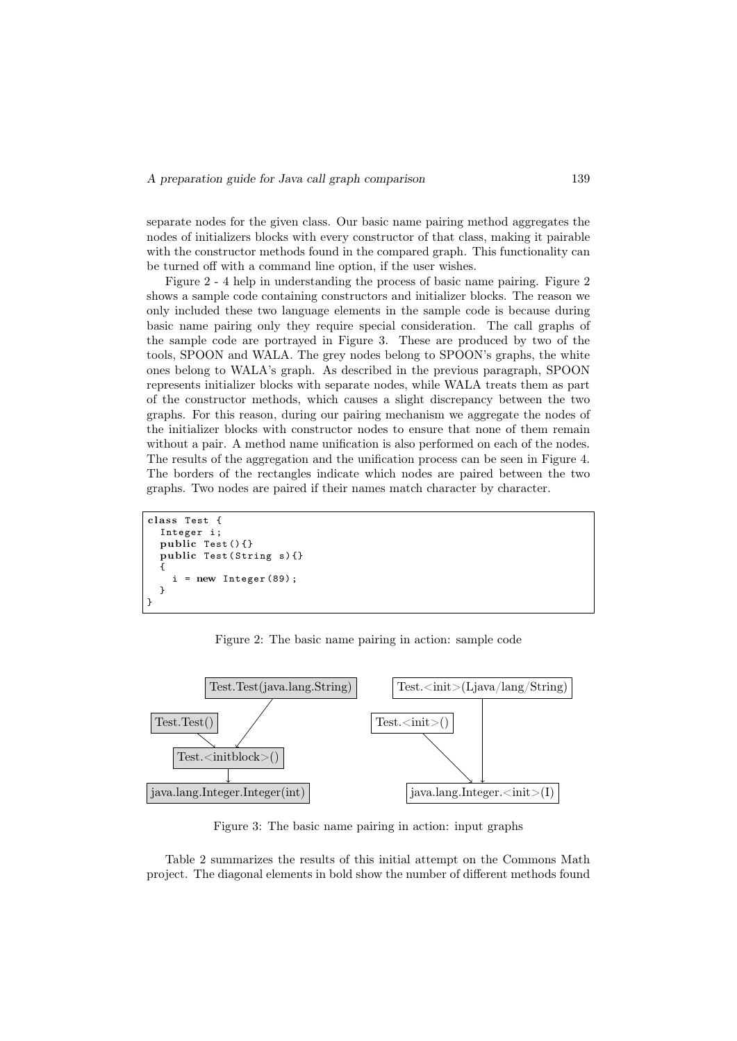separate nodes for the given class. Our basic name pairing method aggregates the nodes of initializers blocks with every constructor of that class, making it pairable with the constructor methods found in the compared graph. This functionality can be turned off with a command line option, if the user wishes.

Figure 2 - 4 help in understanding the process of basic name pairing. Figure 2 shows a sample code containing constructors and initializer blocks. The reason we only included these two language elements in the sample code is because during basic name pairing only they require special consideration. The call graphs of the sample code are portrayed in Figure 3. These are produced by two of the tools, SPOON and WALA. The grey nodes belong to SPOON's graphs, the white ones belong to WALA's graph. As described in the previous paragraph, SPOON represents initializer blocks with separate nodes, while WALA treats them as part of the constructor methods, which causes a slight discrepancy between the two graphs. For this reason, during our pairing mechanism we aggregate the nodes of the initializer blocks with constructor nodes to ensure that none of them remain without a pair. A method name unification is also performed on each of the nodes. The results of the aggregation and the unification process can be seen in Figure 4. The borders of the rectangles indicate which nodes are paired between the two graphs. Two nodes are paired if their names match character by character.

```
class Test {
  Integer i ;
  public Test () {}
  public Test (String s) {}
  {
      = new Integer (89);
  }
}
```
Figure 2: The basic name pairing in action: sample code



Figure 3: The basic name pairing in action: input graphs

Table 2 summarizes the results of this initial attempt on the Commons Math project. The diagonal elements in bold show the number of different methods found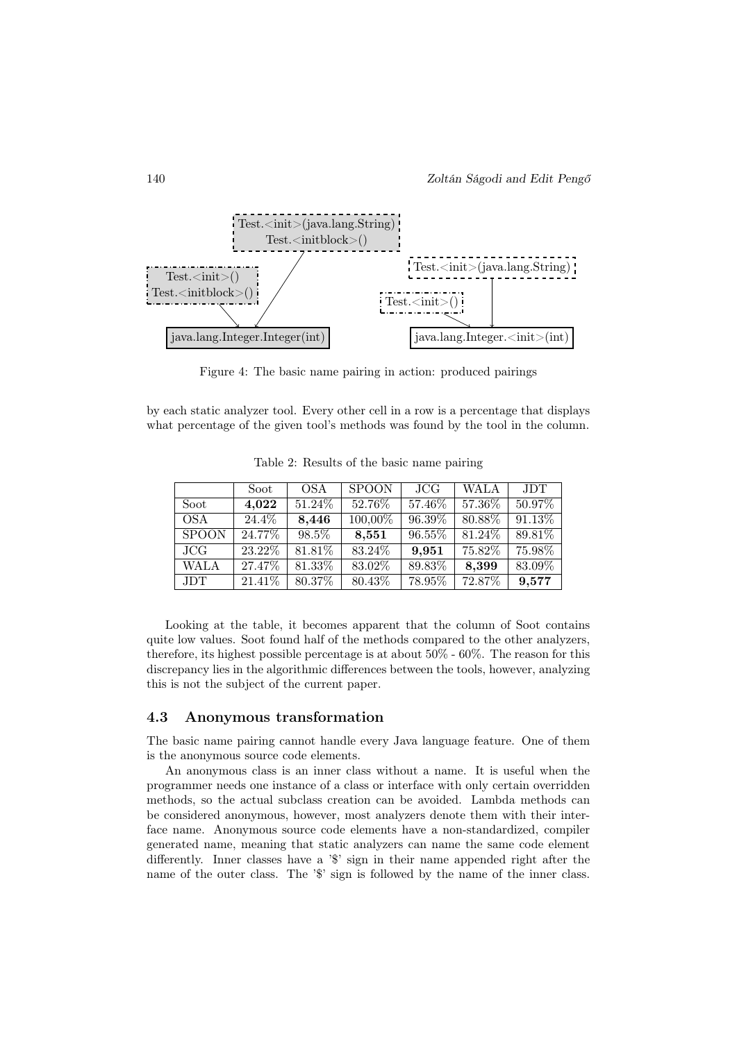

Figure 4: The basic name pairing in action: produced pairings

by each static analyzer tool. Every other cell in a row is a percentage that displays what percentage of the given tool's methods was found by the tool in the column.

|              | Soot     | <b>OSA</b> | <b>SPOON</b> | JCG    | <b>WALA</b> | <b>JDT</b> |
|--------------|----------|------------|--------------|--------|-------------|------------|
| Soot         | 4,022    | 51.24\%    | 52.76%       | 57.46% | 57.36%      | 50.97%     |
| <b>OSA</b>   | $24.4\%$ | 8,446      | 100,00%      | 96.39% | 80.88%      | $91.13\%$  |
| <b>SPOON</b> | 24.77%   | 98.5%      | 8,551        | 96.55% | 81.24%      | 89.81%     |
| JCG          | 23.22\%  | 81.81\%    | 83.24\%      | 9,951  | 75.82%      | 75.98%     |
| <b>WALA</b>  | 27.47\%  | 81.33%     | 83.02%       | 89.83% | 8,399       | 83.09%     |
| JDT.         | 21.41\%  | $80.37\%$  | 80.43%       | 78.95% | 72.87%      | 9,577      |

Table 2: Results of the basic name pairing

Looking at the table, it becomes apparent that the column of Soot contains quite low values. Soot found half of the methods compared to the other analyzers, therefore, its highest possible percentage is at about 50% - 60%. The reason for this discrepancy lies in the algorithmic differences between the tools, however, analyzing this is not the subject of the current paper.

#### 4.3 Anonymous transformation

The basic name pairing cannot handle every Java language feature. One of them is the anonymous source code elements.

An anonymous class is an inner class without a name. It is useful when the programmer needs one instance of a class or interface with only certain overridden methods, so the actual subclass creation can be avoided. Lambda methods can be considered anonymous, however, most analyzers denote them with their interface name. Anonymous source code elements have a non-standardized, compiler generated name, meaning that static analyzers can name the same code element differently. Inner classes have a '\$' sign in their name appended right after the name of the outer class. The '\$' sign is followed by the name of the inner class.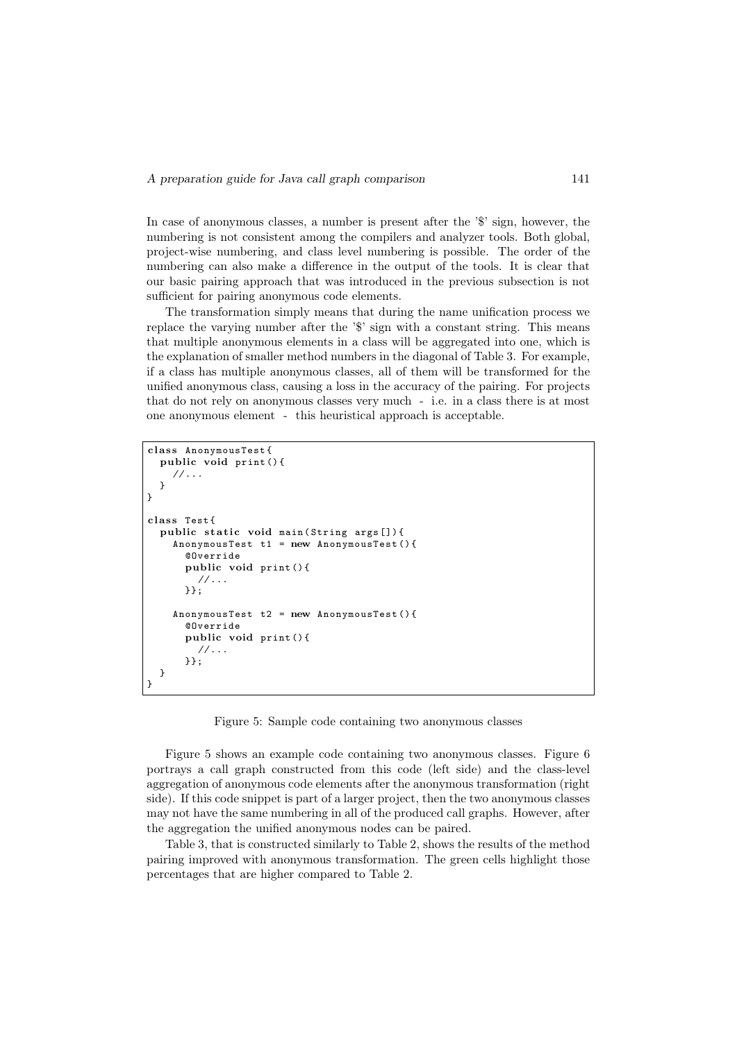In case of anonymous classes, a number is present after the '\$' sign, however, the numbering is not consistent among the compilers and analyzer tools. Both global, project-wise numbering, and class level numbering is possible. The order of the numbering can also make a difference in the output of the tools. It is clear that our basic pairing approach that was introduced in the previous subsection is not sufficient for pairing anonymous code elements.

The transformation simply means that during the name unification process we replace the varying number after the '\$' sign with a constant string. This means that multiple anonymous elements in a class will be aggregated into one, which is the explanation of smaller method numbers in the diagonal of Table 3. For example, if a class has multiple anonymous classes, all of them will be transformed for the unified anonymous class, causing a loss in the accuracy of the pairing. For projects that do not rely on anonymous classes very much - i.e. in a class there is at most one anonymous element - this heuristical approach is acceptable.

```
class AnonymousTest{
  public void print () {
    //\ldots}
}
class Test{
  public static void main (String args []) {
    AnonymousTest t1 = new AnonymousTest () {
      @Override
      public void print () {
         1/...
      }};
    AnonymousTest t2 = new AnonymousTest () {
      @Override
      public void print () {
         1/\ldots}};
  }
}
```
Figure 5: Sample code containing two anonymous classes

Figure 5 shows an example code containing two anonymous classes. Figure 6 portrays a call graph constructed from this code (left side) and the class-level aggregation of anonymous code elements after the anonymous transformation (right side). If this code snippet is part of a larger project, then the two anonymous classes may not have the same numbering in all of the produced call graphs. However, after the aggregation the unified anonymous nodes can be paired.

Table 3, that is constructed similarly to Table 2, shows the results of the method pairing improved with anonymous transformation. The green cells highlight those percentages that are higher compared to Table 2.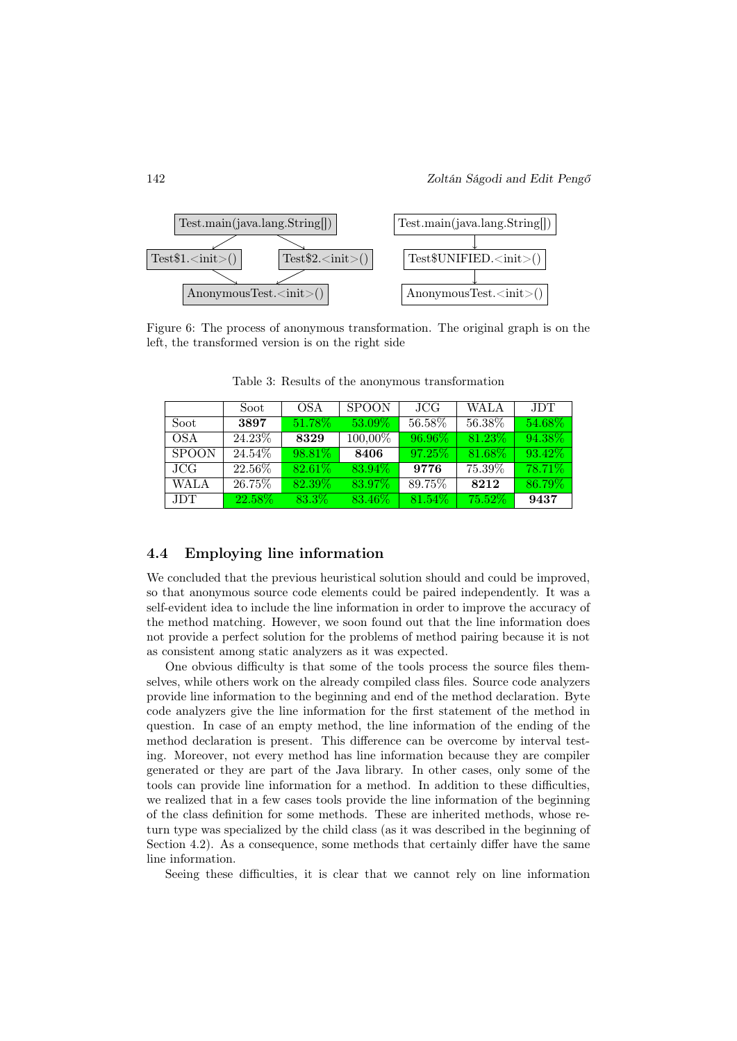

Figure 6: The process of anonymous transformation. The original graph is on the left, the transformed version is on the right side

|              | Soot    | OSA       | <b>SPOON</b> | JCG.    | <b>WALA</b> | <b>JDT</b> |
|--------------|---------|-----------|--------------|---------|-------------|------------|
| Soot         | 3897    | 51.78%    | 53.09%       | 56.58%  | 56.38%      | 54.68%     |
| OSA          | 24.23\% | 8329      | 100,00%      | 96.96%  | 81.23\%     | 94.38%     |
| <b>SPOON</b> | 24.54\% | 98.81\%   | 8406         | 97.25\% | 81.68%      | 93.42\%    |
| JCG.         | 22.56\% | $82.61\%$ | 83.94%       | 9776    | 75.39%      | 78.71%     |
| <b>WALA</b>  | 26.75\% | 82.39%    | 83.97%       | 89.75%  | 8212        | 86.79%     |
| JDT.         | 22.58%  | 83.3%     | 83.46\%      | 81.54%  | 75.52%      | 9437       |

Table 3: Results of the anonymous transformation

#### 4.4 Employing line information

We concluded that the previous heuristical solution should and could be improved, so that anonymous source code elements could be paired independently. It was a self-evident idea to include the line information in order to improve the accuracy of the method matching. However, we soon found out that the line information does not provide a perfect solution for the problems of method pairing because it is not as consistent among static analyzers as it was expected.

One obvious difficulty is that some of the tools process the source files themselves, while others work on the already compiled class files. Source code analyzers provide line information to the beginning and end of the method declaration. Byte code analyzers give the line information for the first statement of the method in question. In case of an empty method, the line information of the ending of the method declaration is present. This difference can be overcome by interval testing. Moreover, not every method has line information because they are compiler generated or they are part of the Java library. In other cases, only some of the tools can provide line information for a method. In addition to these difficulties, we realized that in a few cases tools provide the line information of the beginning of the class definition for some methods. These are inherited methods, whose return type was specialized by the child class (as it was described in the beginning of Section 4.2). As a consequence, some methods that certainly differ have the same line information.

Seeing these difficulties, it is clear that we cannot rely on line information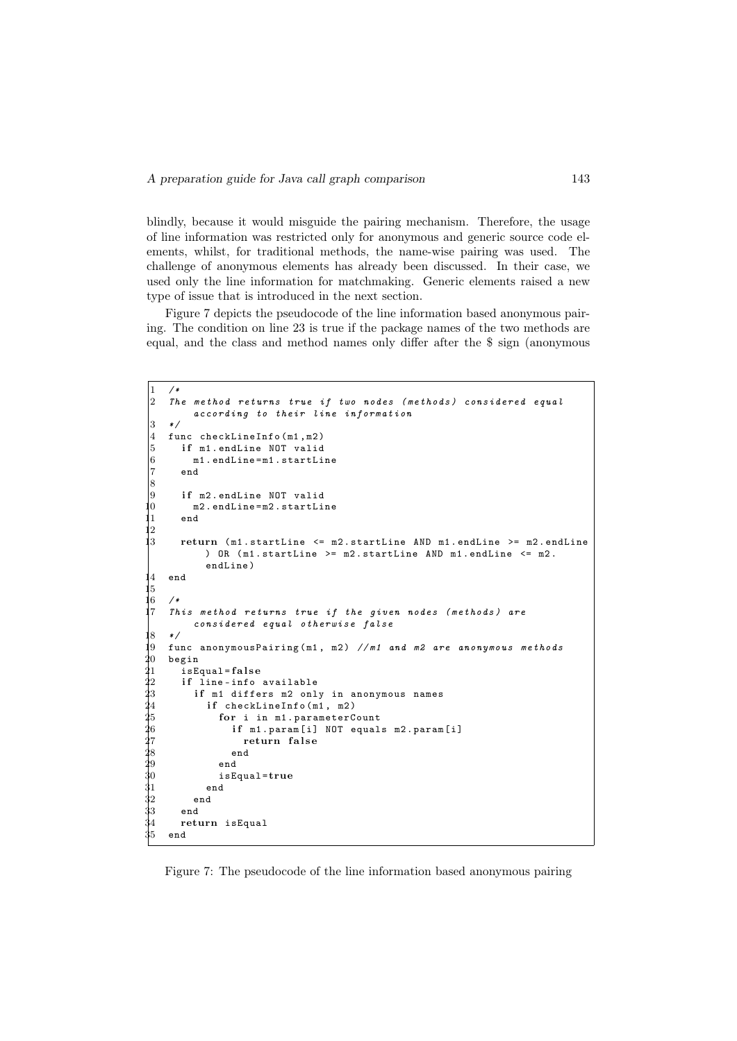blindly, because it would misguide the pairing mechanism. Therefore, the usage of line information was restricted only for anonymous and generic source code elements, whilst, for traditional methods, the name-wise pairing was used. The challenge of anonymous elements has already been discussed. In their case, we used only the line information for matchmaking. Generic elements raised a new type of issue that is introduced in the next section.

Figure 7 depicts the pseudocode of the line information based anonymous pairing. The condition on line 23 is true if the package names of the two methods are equal, and the class and method names only differ after the \$ sign (anonymous

```
1 / *2 The method returns true if two nodes (methods) considered equal
              according to their line information
 3 \times 14 func checkLineInfo (m1 , m2 )
 5 if m1.endLine NOT valid
 6 m1 . endLine = m1 . startLine
           end
 \overline{8}9 if m2.endLine NOT valid<br>0 m2.endLine=m2.startLi
              m2. endLine=m2. startLine
 11 end
 \vert2
 13 return ( m1 . startLine <= m2 . startLine AND m1 . endLine >= m2 . endLine
                  ) OR (m1.startLine \ge m2.startLine AMD m1.endLine \le m2.
                  endLine )
 14 end
 |5<br>|6
 16 /*<br>17 Th
       This method returns true if the given nodes (methods) are
              considered equal otherwise false
 18 */
19 func anonymousPairing (m1, m2) //m1 and m2 are anonymous methods<br>20 begin
\begin{array}{cc} 20 & \texttt{begin}} \texttt{.} \end{array}21 isEqual=false<br>
22 if line-info<br>
23 if m1 diffe<br>
24 if checkL
           if line-info available
              if m1 differs m2 only in anonymous names
24 if checkLineInfo(m1, m2)<br>25 for i in m1.parameterC
25 for i in m1.parameterCount<br>26 ff m1.param[i] NOT equal
26 if m1.param[i] NOT equals m2.param[i]<br>27 return false<br>28 end<br>29 end
                             return false
                          end
\begin{array}{ccc} 29 & \hspace{1.5cm} & \hspace{1.5cm} & \hspace{1.5cm} & \hspace{1.5cm} & \hspace{1.5cm} & \hspace{1.5cm} & \hspace{1.5cm} & \hspace{1.5cm} & \hspace{1.5cm} & \hspace{1.5cm} & \hspace{1.5cm} & \hspace{1.5cm} & \hspace{1.5cm} & \hspace{1.5cm} & \hspace{1.5cm} & \hspace{1.5cm} & \hspace{1.5cm} & \hspace{1.5cm} & \hspace{1.5cm} & \hspace{1.5cm} & \hspace{1.5cm}\begin{array}{cc} 30 & \hspace{1.5cm} \texttt{isEqual} = \texttt{true} \ 31 & \hspace{1.5cm} \texttt{end} \end{array}end
32 end
\begin{array}{cc} 33 & & \texttt{end} \ 34 & & \texttt{ret} \end{array}return isEqual
35 end
```
Figure 7: The pseudocode of the line information based anonymous pairing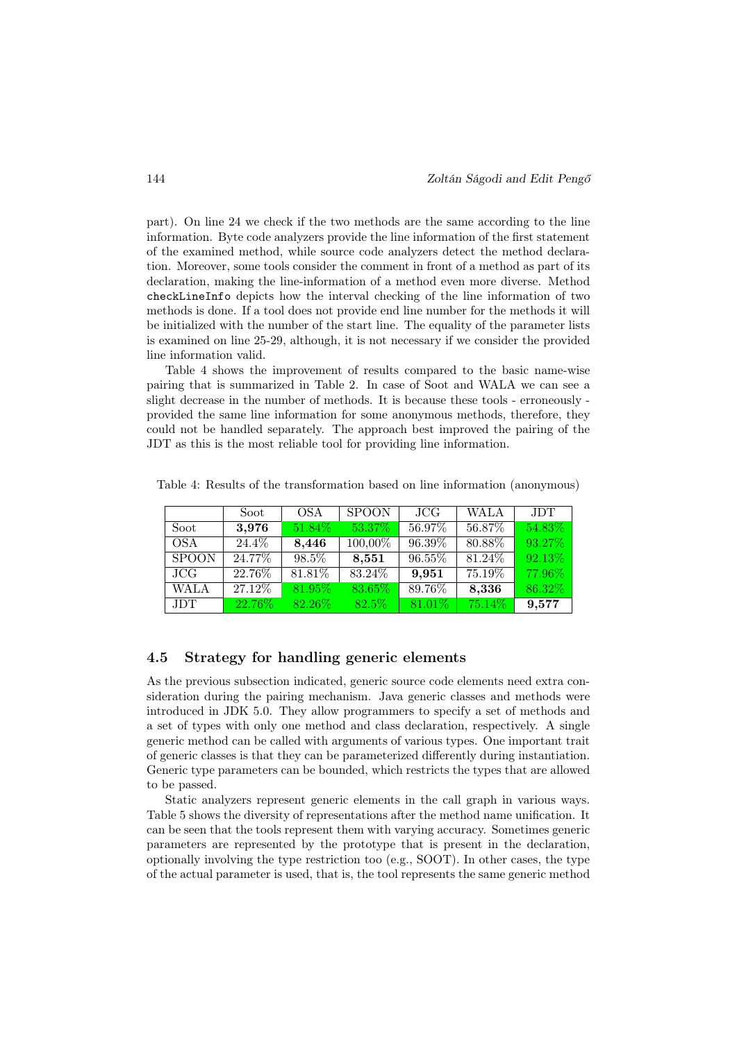part). On line 24 we check if the two methods are the same according to the line information. Byte code analyzers provide the line information of the first statement of the examined method, while source code analyzers detect the method declaration. Moreover, some tools consider the comment in front of a method as part of its declaration, making the line-information of a method even more diverse. Method checkLineInfo depicts how the interval checking of the line information of two methods is done. If a tool does not provide end line number for the methods it will be initialized with the number of the start line. The equality of the parameter lists is examined on line 25-29, although, it is not necessary if we consider the provided line information valid.

Table 4 shows the improvement of results compared to the basic name-wise pairing that is summarized in Table 2. In case of Soot and WALA we can see a slight decrease in the number of methods. It is because these tools - erroneously provided the same line information for some anonymous methods, therefore, they could not be handled separately. The approach best improved the pairing of the JDT as this is the most reliable tool for providing line information.

|             | Soot    | OSA.      | <b>SPOON</b> | JCG       | <b>WALA</b> | <b>JDT</b> |
|-------------|---------|-----------|--------------|-----------|-------------|------------|
| Soot        | 3,976   | 51.84\%   | 53.37%       | 56.97%    | 56.87%      | 54.83%     |
| <b>OSA</b>  | 24.4\%  | 8,446     | 100,00%      | 96.39%    | 80.88%      | 93.27%     |
| SPOON       | 24.77%  | 98.5%     | 8,551        | 96.55%    | 81.24\%     | 92.13%     |
| JCG         | 22.76\% | 81.81\%   | 83.24\%      | 9,951     | 75.19\%     | 77.96%     |
| <b>WALA</b> | 27.12\% | 81.95%    | 83.65%       | 89.76%    | 8,336       | 86.32%     |
| JDT.        | 22.76%  | $82.26\%$ | $82.5\%$     | $81.01\%$ | $75.14\%$   | 9,577      |

Table 4: Results of the transformation based on line information (anonymous)

#### 4.5 Strategy for handling generic elements

As the previous subsection indicated, generic source code elements need extra consideration during the pairing mechanism. Java generic classes and methods were introduced in JDK 5.0. They allow programmers to specify a set of methods and a set of types with only one method and class declaration, respectively. A single generic method can be called with arguments of various types. One important trait of generic classes is that they can be parameterized differently during instantiation. Generic type parameters can be bounded, which restricts the types that are allowed to be passed.

Static analyzers represent generic elements in the call graph in various ways. Table 5 shows the diversity of representations after the method name unification. It can be seen that the tools represent them with varying accuracy. Sometimes generic parameters are represented by the prototype that is present in the declaration, optionally involving the type restriction too (e.g., SOOT). In other cases, the type of the actual parameter is used, that is, the tool represents the same generic method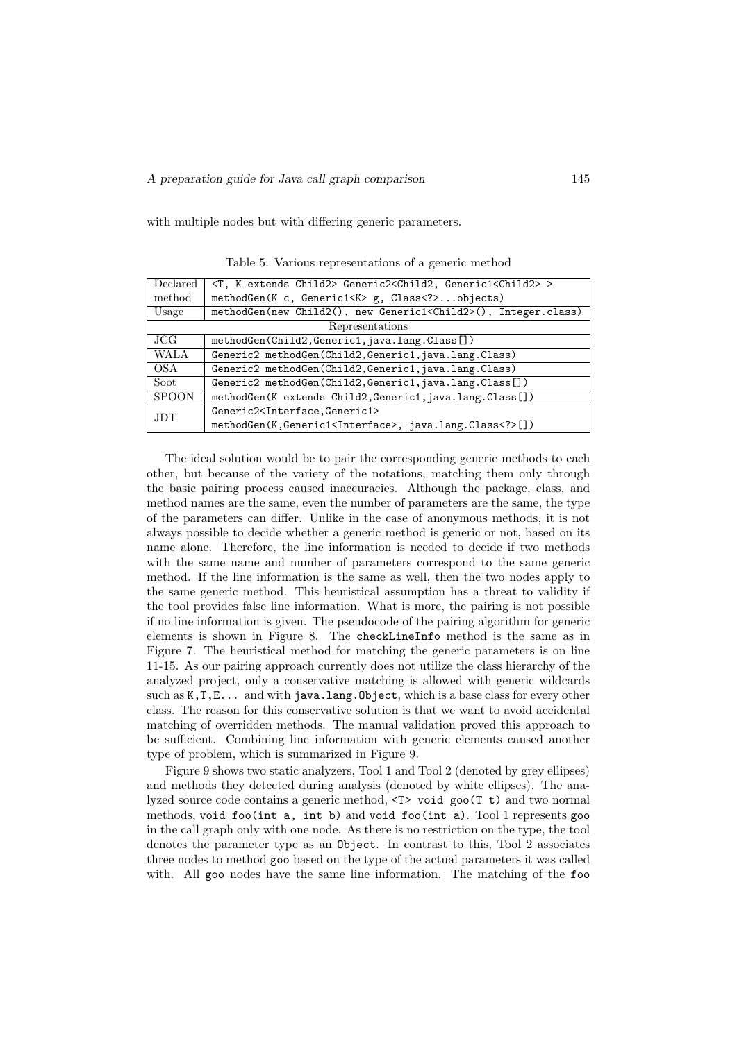with multiple nodes but with differing generic parameters.

| Declared     | <t, child2="" extends="" k=""> Generic2<child2, generic1<child2=""> &gt;</child2,></t,> |
|--------------|-----------------------------------------------------------------------------------------|
| method       | methodGen(K c, Generic1 <k> g, Class<? >objects)</k>                                    |
| Usage        | methodGen(new Child2(), new Generic1 <child2>(), Integer.class)</child2>                |
|              | Representations                                                                         |
| JCG          | methodGen(Child2,Generic1,java.lang.Class[])                                            |
| <b>WALA</b>  | Generic2 methodGen(Child2, Generic1, java.lang.Class)                                   |
| OSA          | Generic2 methodGen(Child2, Generic1, java.lang.Class)                                   |
| Soot         | Generic2 methodGen(Child2, Generic1, java.lang.Class[])                                 |
| <b>SPOON</b> | methodGen(K extends Child2, Generic1, java.lang.Class[])                                |
| <b>JDT</b>   | Generic2 <interface, generic1=""></interface,>                                          |
|              | methodGen(K,Generic1 <interface>, java.lang.Class<? >[])</interface>                    |

Table 5: Various representations of a generic method

The ideal solution would be to pair the corresponding generic methods to each other, but because of the variety of the notations, matching them only through the basic pairing process caused inaccuracies. Although the package, class, and method names are the same, even the number of parameters are the same, the type of the parameters can differ. Unlike in the case of anonymous methods, it is not always possible to decide whether a generic method is generic or not, based on its name alone. Therefore, the line information is needed to decide if two methods with the same name and number of parameters correspond to the same generic method. If the line information is the same as well, then the two nodes apply to the same generic method. This heuristical assumption has a threat to validity if the tool provides false line information. What is more, the pairing is not possible if no line information is given. The pseudocode of the pairing algorithm for generic elements is shown in Figure 8. The checkLineInfo method is the same as in Figure 7. The heuristical method for matching the generic parameters is on line 11-15. As our pairing approach currently does not utilize the class hierarchy of the analyzed project, only a conservative matching is allowed with generic wildcards such as K, T, E... and with java.lang. Object, which is a base class for every other class. The reason for this conservative solution is that we want to avoid accidental matching of overridden methods. The manual validation proved this approach to be sufficient. Combining line information with generic elements caused another type of problem, which is summarized in Figure 9.

Figure 9 shows two static analyzers, Tool 1 and Tool 2 (denoted by grey ellipses) and methods they detected during analysis (denoted by white ellipses). The analyzed source code contains a generic method, <T> void goo(T t) and two normal methods, void foo(int a, int b) and void foo(int a). Tool 1 represents goo in the call graph only with one node. As there is no restriction on the type, the tool denotes the parameter type as an Object. In contrast to this, Tool 2 associates three nodes to method goo based on the type of the actual parameters it was called with. All goo nodes have the same line information. The matching of the foo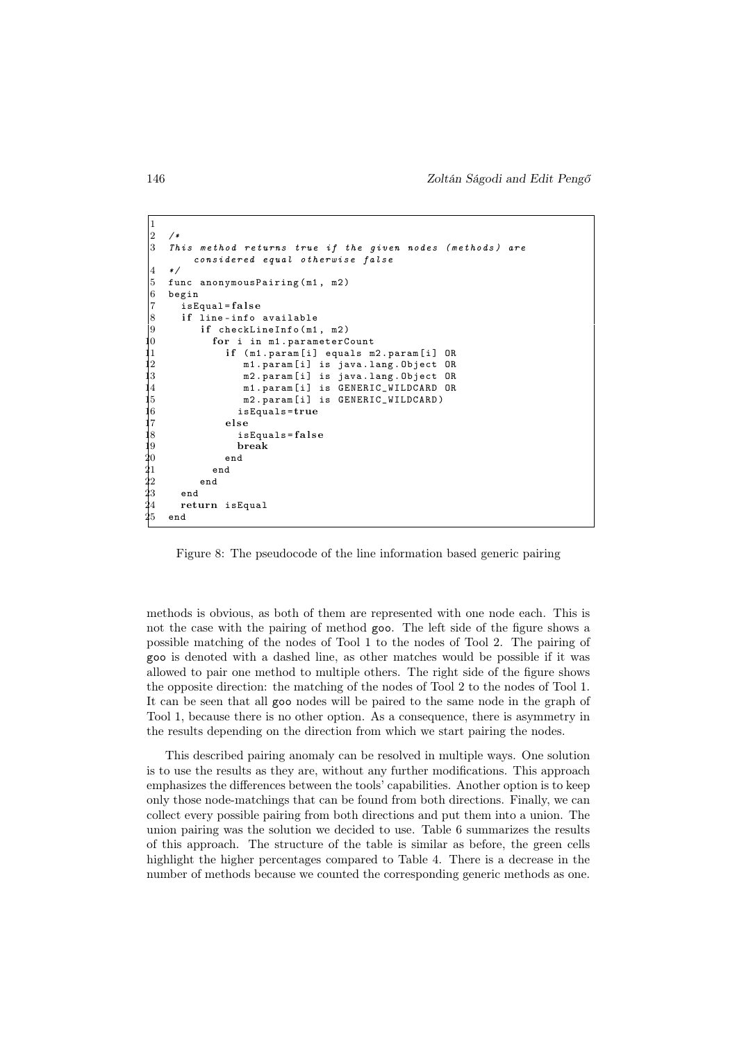146 Zoltán Ságodi and Edit Pengő

```
1
 \left| \frac{2}{3} \right|This method returns true if the given nodes (methods) are
              considered equal otherwise false
 4 */
 5 func anonymous Pairing (m1, m2)<br>6 begin
 \begin{matrix} 6 & \texttt{begin}} 7 & \texttt{isE} \end{matrix}7 isEqual=false<br>8 if line-info
 8 if line-info available<br>9 if checkLineInfo(m1
 9 if checkLineInfo (m1, m2)<br>0 for i in m1.parameterC
                   for i in m1. parameterCount
 1 if (m1.param[i] equals m2.param[i] OR<br>2 m1.param[i] is java.lang.Object OR
 12 m1. param [i] is java.lang. Object OR<br>3 m2. param [i] is java.lang. Object OR
 13 m2. param [i] is java.lang. Object OR<br>14 m1. param [i] is GENERIC_WILDCARD OR
                            14 m1 . param [ i] is GENERIC_WILDCARD OR
 15 m2. param [i] is GENERIC_WILDCARD)<br>
15 m2. param [i] is GENERIC_WILDCARD is<br>
15 else
                           16 isEquals =true
 |7 else<br>|8 is
 18 isEquals=false<br>19 break
\begin{array}{ccc} 19 & \text{break} \ 20 & \text{end} \ 21 & \text{end} \end{array}end
\begin{array}{ccc} 21 & & \text{end} \ 22 & & \text{end} \ 23 & & \text{end} \ 24 & & \text{return} \end{array}end
          end
\frac{24}{25} return isEqual
      end
```
Figure 8: The pseudocode of the line information based generic pairing

methods is obvious, as both of them are represented with one node each. This is not the case with the pairing of method goo. The left side of the figure shows a possible matching of the nodes of Tool 1 to the nodes of Tool 2. The pairing of goo is denoted with a dashed line, as other matches would be possible if it was allowed to pair one method to multiple others. The right side of the figure shows the opposite direction: the matching of the nodes of Tool 2 to the nodes of Tool 1. It can be seen that all goo nodes will be paired to the same node in the graph of Tool 1, because there is no other option. As a consequence, there is asymmetry in the results depending on the direction from which we start pairing the nodes.

This described pairing anomaly can be resolved in multiple ways. One solution is to use the results as they are, without any further modifications. This approach emphasizes the differences between the tools' capabilities. Another option is to keep only those node-matchings that can be found from both directions. Finally, we can collect every possible pairing from both directions and put them into a union. The union pairing was the solution we decided to use. Table 6 summarizes the results of this approach. The structure of the table is similar as before, the green cells highlight the higher percentages compared to Table 4. There is a decrease in the number of methods because we counted the corresponding generic methods as one.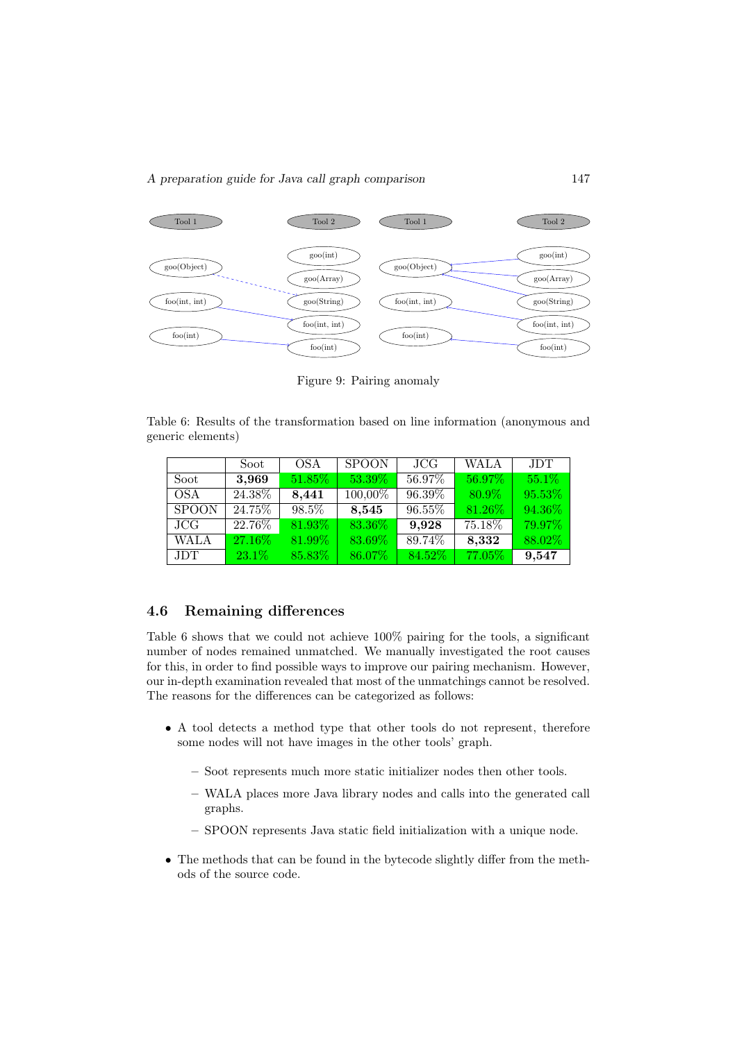#### A preparation guide for Java call graph comparison 147



Figure 9: Pairing anomaly

Table 6: Results of the transformation based on line information (anonymous and generic elements)

|              | Soot     | <b>OSA</b> | <b>SPOON</b> | JCG    | <b>WALA</b> | <b>JDT</b> |
|--------------|----------|------------|--------------|--------|-------------|------------|
| Soot         | 3,969    | 51.85%     | 53.39%       | 56.97% | 56.97%      | 55.1\%     |
| <b>OSA</b>   | 24.38%   | 8,441      | 100,00%      | 96.39% | 80.9%       | 95.53%     |
| <b>SPOON</b> | 24.75%   | 98.5%      | 8,545        | 96.55% | 81.26%      | 94.36%     |
| JCG          | 22.76%   | 81.93%     | 83.36%       | 9,928  | 75.18%      | 79.97%     |
| <b>WALA</b>  | 27.16%   | 81.99%     | 83.69%       | 89.74% | 8,332       | 88.02%     |
| <b>JDT</b>   | $23.1\%$ | 85.83%     | 86.07%       | 84.52% | 77.05%      | 9,547      |

#### 4.6 Remaining differences

Table 6 shows that we could not achieve 100% pairing for the tools, a significant number of nodes remained unmatched. We manually investigated the root causes for this, in order to find possible ways to improve our pairing mechanism. However, our in-depth examination revealed that most of the unmatchings cannot be resolved. The reasons for the differences can be categorized as follows:

- A tool detects a method type that other tools do not represent, therefore some nodes will not have images in the other tools' graph.
	- Soot represents much more static initializer nodes then other tools.
	- WALA places more Java library nodes and calls into the generated call graphs.
	- SPOON represents Java static field initialization with a unique node.
- The methods that can be found in the bytecode slightly differ from the methods of the source code.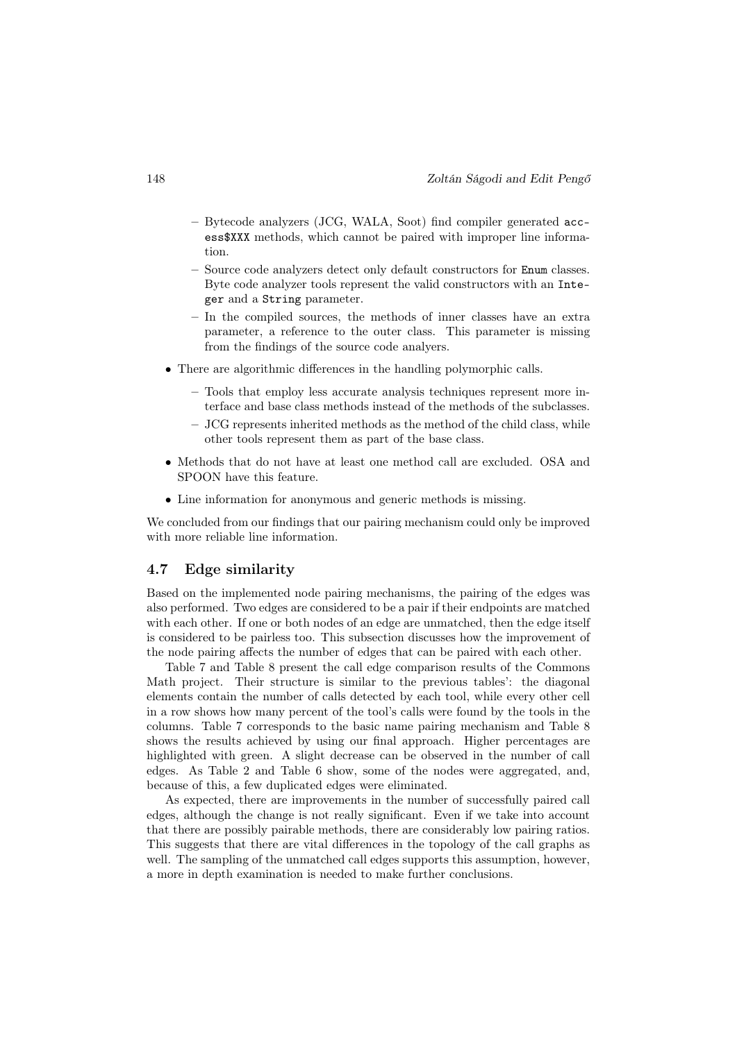- Bytecode analyzers (JCG, WALA, Soot) find compiler generated access\$XXX methods, which cannot be paired with improper line information.
- Source code analyzers detect only default constructors for Enum classes. Byte code analyzer tools represent the valid constructors with an Integer and a String parameter.
- In the compiled sources, the methods of inner classes have an extra parameter, a reference to the outer class. This parameter is missing from the findings of the source code analyers.
- There are algorithmic differences in the handling polymorphic calls.
	- Tools that employ less accurate analysis techniques represent more interface and base class methods instead of the methods of the subclasses.
	- JCG represents inherited methods as the method of the child class, while other tools represent them as part of the base class.
- Methods that do not have at least one method call are excluded. OSA and SPOON have this feature.
- Line information for anonymous and generic methods is missing.

We concluded from our findings that our pairing mechanism could only be improved with more reliable line information.

#### 4.7 Edge similarity

Based on the implemented node pairing mechanisms, the pairing of the edges was also performed. Two edges are considered to be a pair if their endpoints are matched with each other. If one or both nodes of an edge are unmatched, then the edge itself is considered to be pairless too. This subsection discusses how the improvement of the node pairing affects the number of edges that can be paired with each other.

Table 7 and Table 8 present the call edge comparison results of the Commons Math project. Their structure is similar to the previous tables': the diagonal elements contain the number of calls detected by each tool, while every other cell in a row shows how many percent of the tool's calls were found by the tools in the columns. Table 7 corresponds to the basic name pairing mechanism and Table 8 shows the results achieved by using our final approach. Higher percentages are highlighted with green. A slight decrease can be observed in the number of call edges. As Table 2 and Table 6 show, some of the nodes were aggregated, and, because of this, a few duplicated edges were eliminated.

As expected, there are improvements in the number of successfully paired call edges, although the change is not really significant. Even if we take into account that there are possibly pairable methods, there are considerably low pairing ratios. This suggests that there are vital differences in the topology of the call graphs as well. The sampling of the unmatched call edges supports this assumption, however, a more in depth examination is needed to make further conclusions.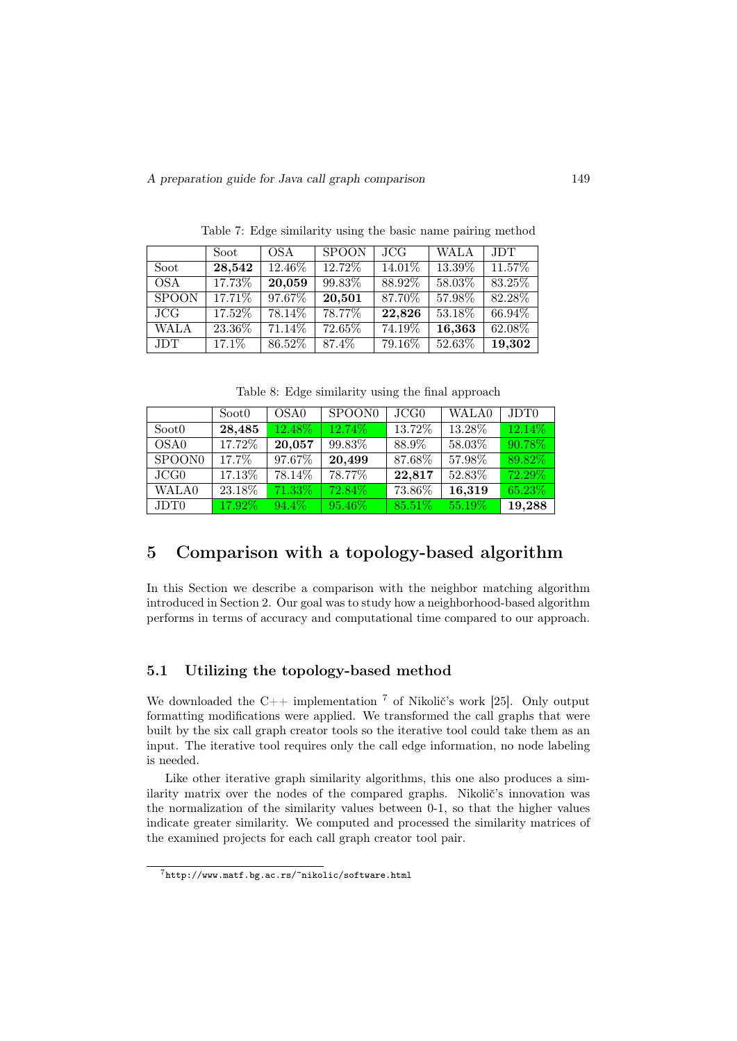|              | Soot     | OSA.      | <b>SPOON</b> | JCG    | <b>WALA</b> | <b>JDT</b> |
|--------------|----------|-----------|--------------|--------|-------------|------------|
| Soot         | 28,542   | 12.46%    | 12.72%       | 14.01% | 13.39%      | 11.57%     |
| <b>OSA</b>   | 17.73%   | 20,059    | 99.83%       | 88.92% | 58.03%      | 83.25%     |
| <b>SPOON</b> | 17.71\%  | 97.67%    | 20,501       | 87.70% | 57.98%      | 82.28\%    |
| JCG          | 17.52%   | 78.14\%   | 78.77%       | 22,826 | 53.18%      | 66.94%     |
| <b>WALA</b>  | 23.36%   | $71.14\%$ | 72.65%       | 74.19% | 16,363      | $62.08\%$  |
| <b>JDT</b>   | $17.1\%$ | $86.52\%$ | 87.4%        | 79.16% | 52.63%      | 19,302     |

Table 7: Edge similarity using the basic name pairing method

Table 8: Edge similarity using the final approach

|                    | Soot0  | OSA <sub>0</sub> | SPOON <sub>0</sub> | JCG0      | WALA0     | JDT <sub>0</sub> |
|--------------------|--------|------------------|--------------------|-----------|-----------|------------------|
| Soot0              | 28,485 | 12.48\%          | 12.74%             | 13.72%    | 13.28%    | 12.14\%          |
| OSA <sub>0</sub>   | 17.72% | 20,057           | 99.83%             | 88.9%     | 58.03%    | 90.78%           |
| SPOON <sub>0</sub> | 17.7%  | 97.67%           | 20,499             | 87.68%    | 57.98%    | 89.82%           |
| JCG0               | 17.13% | 78.14%           | 78.77%             | 22,817    | 52.83%    | 72.29%           |
| <b>WALA0</b>       | 23.18% | $71.33\%$        | $72.84\%$          | 73.86%    | 16,319    | $65.23\%$        |
| JDT <sub>0</sub>   | 17.92% | $94.4\%$         | 95.46%             | $85.51\%$ | $55.19\%$ | 19,288           |

# 5 Comparison with a topology-based algorithm

In this Section we describe a comparison with the neighbor matching algorithm introduced in Section 2. Our goal was to study how a neighborhood-based algorithm performs in terms of accuracy and computational time compared to our approach.

#### 5.1 Utilizing the topology-based method

We downloaded the C++ implementation  $\frac{7}{1}$  of Nikolič's work [25]. Only output formatting modifications were applied. We transformed the call graphs that were built by the six call graph creator tools so the iterative tool could take them as an input. The iterative tool requires only the call edge information, no node labeling is needed.

Like other iterative graph similarity algorithms, this one also produces a similarity matrix over the nodes of the compared graphs. Nikolič's innovation was the normalization of the similarity values between 0-1, so that the higher values indicate greater similarity. We computed and processed the similarity matrices of the examined projects for each call graph creator tool pair.

<sup>7</sup>http://www.matf.bg.ac.rs/~nikolic/software.html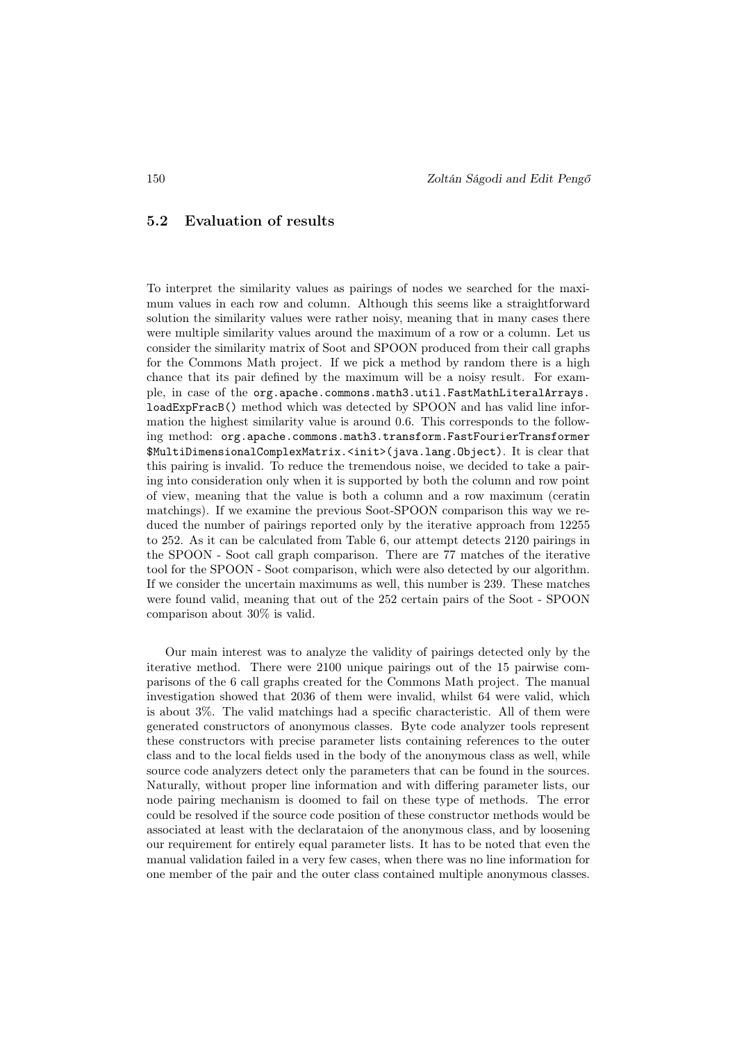#### 5.2 Evaluation of results

To interpret the similarity values as pairings of nodes we searched for the maximum values in each row and column. Although this seems like a straightforward solution the similarity values were rather noisy, meaning that in many cases there were multiple similarity values around the maximum of a row or a column. Let us consider the similarity matrix of Soot and SPOON produced from their call graphs for the Commons Math project. If we pick a method by random there is a high chance that its pair defined by the maximum will be a noisy result. For example, in case of the org.apache.commons.math3.util.FastMathLiteralArrays. loadExpFracB() method which was detected by SPOON and has valid line information the highest similarity value is around 0.6. This corresponds to the following method: org.apache.commons.math3.transform.FastFourierTransformer \$MultiDimensionalComplexMatrix.<init>(java.lang.Object). It is clear that this pairing is invalid. To reduce the tremendous noise, we decided to take a pairing into consideration only when it is supported by both the column and row point of view, meaning that the value is both a column and a row maximum (ceratin matchings). If we examine the previous Soot-SPOON comparison this way we reduced the number of pairings reported only by the iterative approach from 12255 to 252. As it can be calculated from Table 6, our attempt detects 2120 pairings in the SPOON - Soot call graph comparison. There are 77 matches of the iterative tool for the SPOON - Soot comparison, which were also detected by our algorithm. If we consider the uncertain maximums as well, this number is 239. These matches were found valid, meaning that out of the 252 certain pairs of the Soot - SPOON comparison about 30% is valid.

Our main interest was to analyze the validity of pairings detected only by the iterative method. There were 2100 unique pairings out of the 15 pairwise comparisons of the 6 call graphs created for the Commons Math project. The manual investigation showed that 2036 of them were invalid, whilst 64 were valid, which is about 3%. The valid matchings had a specific characteristic. All of them were generated constructors of anonymous classes. Byte code analyzer tools represent these constructors with precise parameter lists containing references to the outer class and to the local fields used in the body of the anonymous class as well, while source code analyzers detect only the parameters that can be found in the sources. Naturally, without proper line information and with differing parameter lists, our node pairing mechanism is doomed to fail on these type of methods. The error could be resolved if the source code position of these constructor methods would be associated at least with the declarataion of the anonymous class, and by loosening our requirement for entirely equal parameter lists. It has to be noted that even the manual validation failed in a very few cases, when there was no line information for one member of the pair and the outer class contained multiple anonymous classes.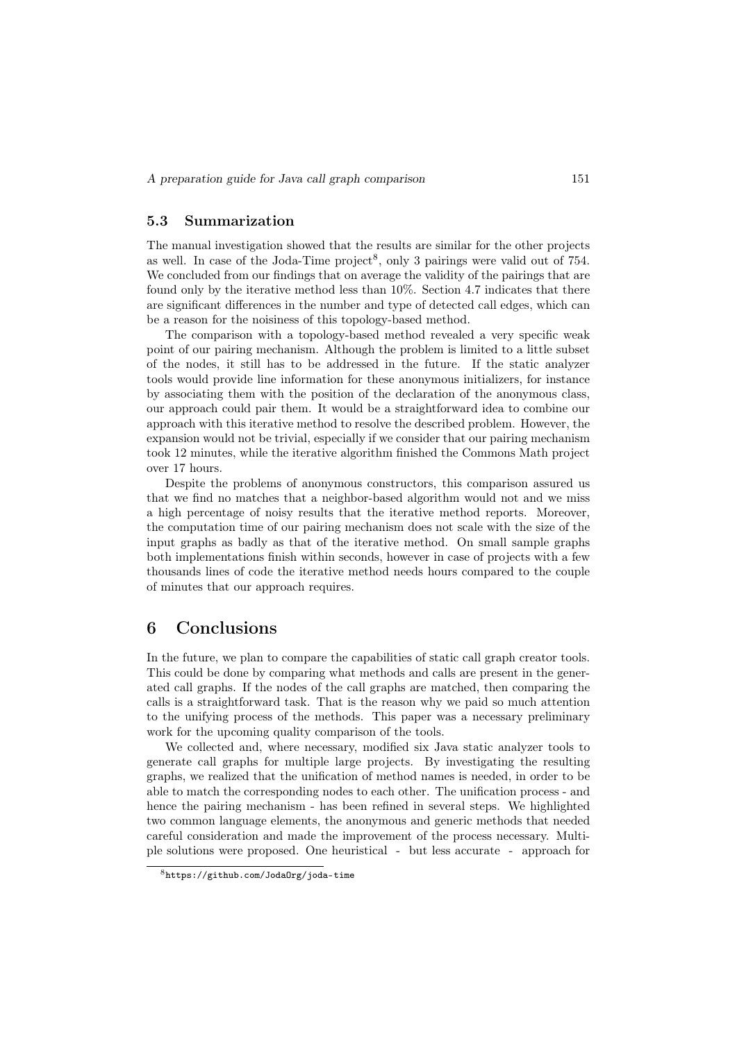#### 5.3 Summarization

The manual investigation showed that the results are similar for the other projects as well. In case of the Joda-Time project<sup>8</sup>, only 3 pairings were valid out of  $754$ . We concluded from our findings that on average the validity of the pairings that are found only by the iterative method less than 10%. Section 4.7 indicates that there are significant differences in the number and type of detected call edges, which can be a reason for the noisiness of this topology-based method.

The comparison with a topology-based method revealed a very specific weak point of our pairing mechanism. Although the problem is limited to a little subset of the nodes, it still has to be addressed in the future. If the static analyzer tools would provide line information for these anonymous initializers, for instance by associating them with the position of the declaration of the anonymous class, our approach could pair them. It would be a straightforward idea to combine our approach with this iterative method to resolve the described problem. However, the expansion would not be trivial, especially if we consider that our pairing mechanism took 12 minutes, while the iterative algorithm finished the Commons Math project over 17 hours.

Despite the problems of anonymous constructors, this comparison assured us that we find no matches that a neighbor-based algorithm would not and we miss a high percentage of noisy results that the iterative method reports. Moreover, the computation time of our pairing mechanism does not scale with the size of the input graphs as badly as that of the iterative method. On small sample graphs both implementations finish within seconds, however in case of projects with a few thousands lines of code the iterative method needs hours compared to the couple of minutes that our approach requires.

# 6 Conclusions

In the future, we plan to compare the capabilities of static call graph creator tools. This could be done by comparing what methods and calls are present in the generated call graphs. If the nodes of the call graphs are matched, then comparing the calls is a straightforward task. That is the reason why we paid so much attention to the unifying process of the methods. This paper was a necessary preliminary work for the upcoming quality comparison of the tools.

We collected and, where necessary, modified six Java static analyzer tools to generate call graphs for multiple large projects. By investigating the resulting graphs, we realized that the unification of method names is needed, in order to be able to match the corresponding nodes to each other. The unification process - and hence the pairing mechanism - has been refined in several steps. We highlighted two common language elements, the anonymous and generic methods that needed careful consideration and made the improvement of the process necessary. Multiple solutions were proposed. One heuristical - but less accurate - approach for

<sup>8</sup>https://github.com/JodaOrg/joda-time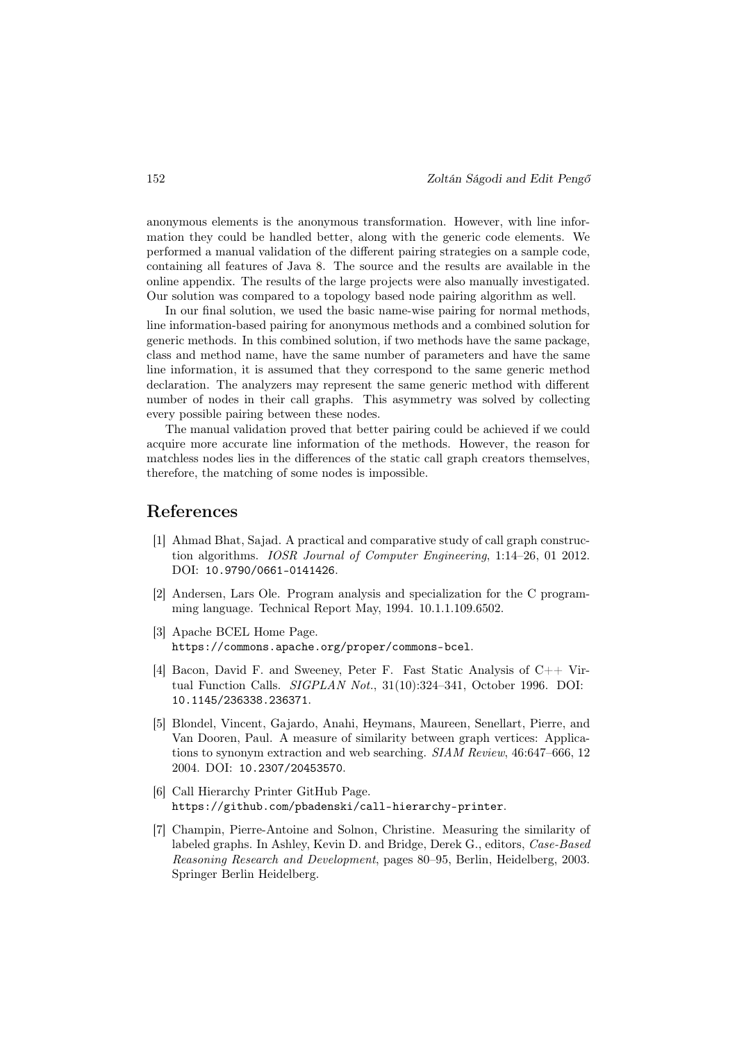anonymous elements is the anonymous transformation. However, with line information they could be handled better, along with the generic code elements. We performed a manual validation of the different pairing strategies on a sample code, containing all features of Java 8. The source and the results are available in the online appendix. The results of the large projects were also manually investigated. Our solution was compared to a topology based node pairing algorithm as well.

In our final solution, we used the basic name-wise pairing for normal methods, line information-based pairing for anonymous methods and a combined solution for generic methods. In this combined solution, if two methods have the same package, class and method name, have the same number of parameters and have the same line information, it is assumed that they correspond to the same generic method declaration. The analyzers may represent the same generic method with different number of nodes in their call graphs. This asymmetry was solved by collecting every possible pairing between these nodes.

The manual validation proved that better pairing could be achieved if we could acquire more accurate line information of the methods. However, the reason for matchless nodes lies in the differences of the static call graph creators themselves, therefore, the matching of some nodes is impossible.

### References

- [1] Ahmad Bhat, Sajad. A practical and comparative study of call graph construction algorithms. IOSR Journal of Computer Engineering, 1:14–26, 01 2012. DOI: 10.9790/0661-0141426.
- [2] Andersen, Lars Ole. Program analysis and specialization for the C programming language. Technical Report May, 1994. 10.1.1.109.6502.
- [3] Apache BCEL Home Page. https://commons.apache.org/proper/commons-bcel.
- [4] Bacon, David F. and Sweeney, Peter F. Fast Static Analysis of C++ Virtual Function Calls. SIGPLAN Not., 31(10):324–341, October 1996. DOI: 10.1145/236338.236371.
- [5] Blondel, Vincent, Gajardo, Anahi, Heymans, Maureen, Senellart, Pierre, and Van Dooren, Paul. A measure of similarity between graph vertices: Applications to synonym extraction and web searching. SIAM Review, 46:647–666, 12 2004. DOI: 10.2307/20453570.
- [6] Call Hierarchy Printer GitHub Page. https://github.com/pbadenski/call-hierarchy-printer.
- [7] Champin, Pierre-Antoine and Solnon, Christine. Measuring the similarity of labeled graphs. In Ashley, Kevin D. and Bridge, Derek G., editors, Case-Based Reasoning Research and Development, pages 80–95, Berlin, Heidelberg, 2003. Springer Berlin Heidelberg.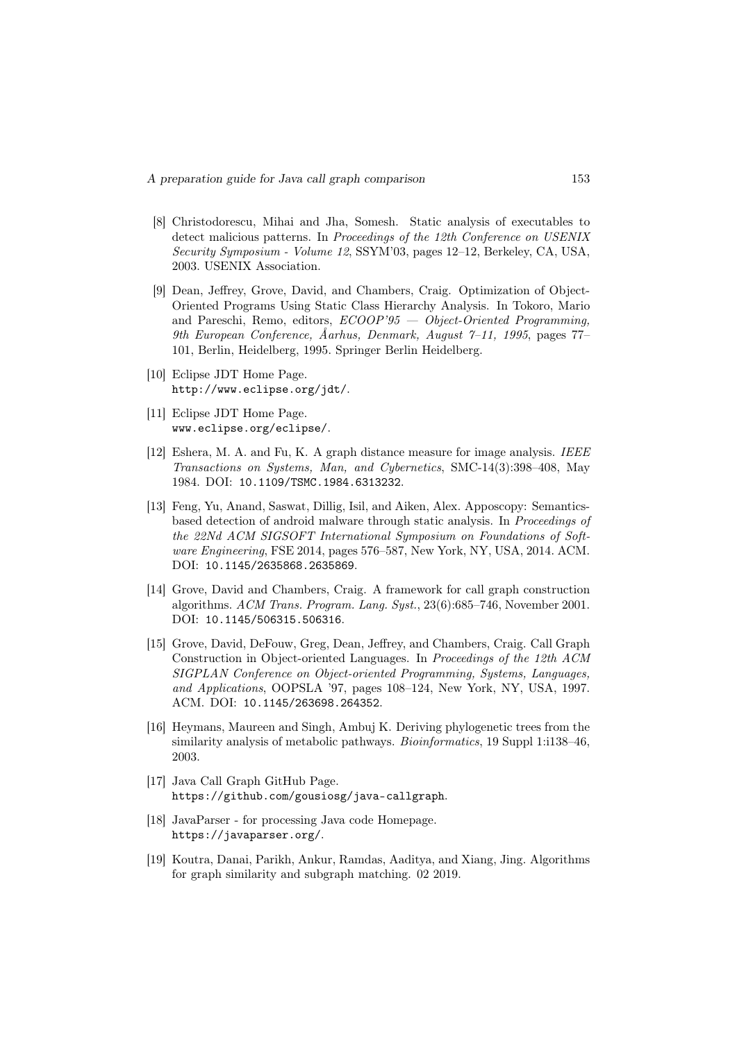- [8] Christodorescu, Mihai and Jha, Somesh. Static analysis of executables to detect malicious patterns. In Proceedings of the 12th Conference on USENIX Security Symposium - Volume 12, SSYM'03, pages 12–12, Berkeley, CA, USA, 2003. USENIX Association.
- [9] Dean, Jeffrey, Grove, David, and Chambers, Craig. Optimization of Object-Oriented Programs Using Static Class Hierarchy Analysis. In Tokoro, Mario and Pareschi, Remo, editors,  $ECOOP' 95 - Object-Oriented Programming$ , 9th European Conference, Åarhus, Denmark, August 7–11, 1995, pages 77– 101, Berlin, Heidelberg, 1995. Springer Berlin Heidelberg.
- [10] Eclipse JDT Home Page. http://www.eclipse.org/jdt/.
- [11] Eclipse JDT Home Page. www.eclipse.org/eclipse/.
- [12] Eshera, M. A. and Fu, K. A graph distance measure for image analysis. IEEE Transactions on Systems, Man, and Cybernetics, SMC-14(3):398–408, May 1984. DOI: 10.1109/TSMC.1984.6313232.
- [13] Feng, Yu, Anand, Saswat, Dillig, Isil, and Aiken, Alex. Apposcopy: Semanticsbased detection of android malware through static analysis. In Proceedings of the 22Nd ACM SIGSOFT International Symposium on Foundations of Software Engineering, FSE 2014, pages 576–587, New York, NY, USA, 2014. ACM. DOI: 10.1145/2635868.2635869.
- [14] Grove, David and Chambers, Craig. A framework for call graph construction algorithms. ACM Trans. Program. Lang. Syst., 23(6):685–746, November 2001. DOI: 10.1145/506315.506316.
- [15] Grove, David, DeFouw, Greg, Dean, Jeffrey, and Chambers, Craig. Call Graph Construction in Object-oriented Languages. In Proceedings of the 12th ACM SIGPLAN Conference on Object-oriented Programming, Systems, Languages, and Applications, OOPSLA '97, pages 108–124, New York, NY, USA, 1997. ACM. DOI: 10.1145/263698.264352.
- [16] Heymans, Maureen and Singh, Ambuj K. Deriving phylogenetic trees from the similarity analysis of metabolic pathways. *Bioinformatics*, 19 Suppl 1:1138–46, 2003.
- [17] Java Call Graph GitHub Page. https://github.com/gousiosg/java-callgraph.
- [18] JavaParser for processing Java code Homepage. https://javaparser.org/.
- [19] Koutra, Danai, Parikh, Ankur, Ramdas, Aaditya, and Xiang, Jing. Algorithms for graph similarity and subgraph matching. 02 2019.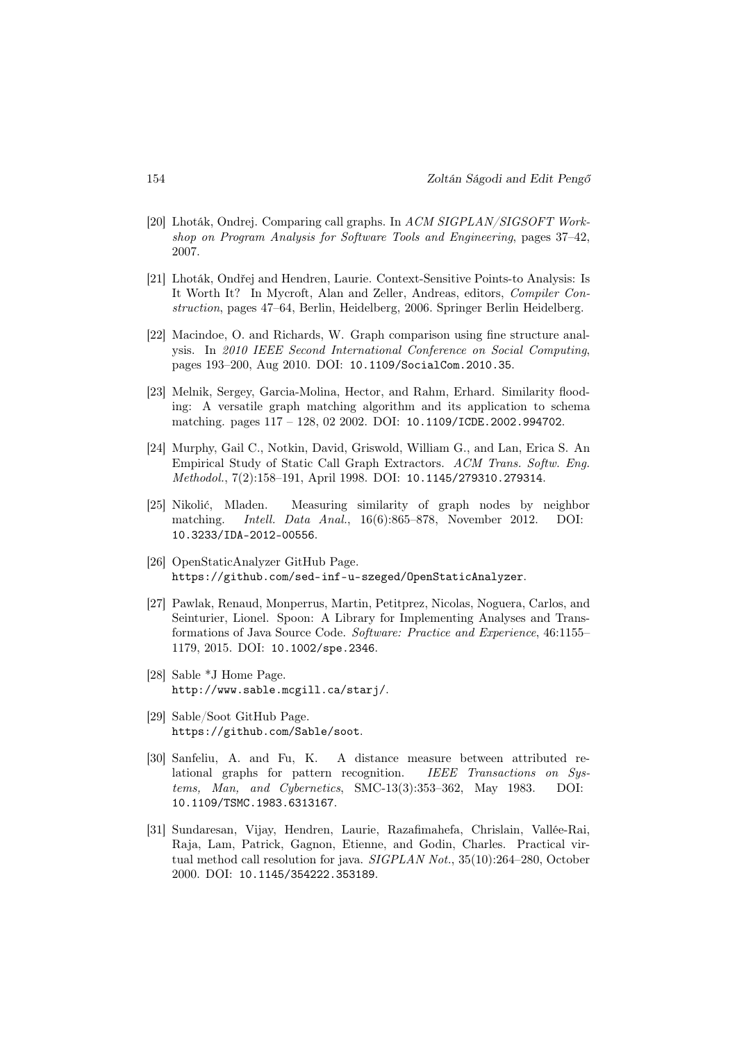- [20] Lhoták, Ondrej. Comparing call graphs. In ACM SIGPLAN/SIGSOFT Workshop on Program Analysis for Software Tools and Engineering, pages 37–42, 2007.
- [21] Lhoták, Ondřej and Hendren, Laurie. Context-Sensitive Points-to Analysis: Is It Worth It? In Mycroft, Alan and Zeller, Andreas, editors, Compiler Construction, pages 47–64, Berlin, Heidelberg, 2006. Springer Berlin Heidelberg.
- [22] Macindoe, O. and Richards, W. Graph comparison using fine structure analysis. In 2010 IEEE Second International Conference on Social Computing, pages 193–200, Aug 2010. DOI: 10.1109/SocialCom.2010.35.
- [23] Melnik, Sergey, Garcia-Molina, Hector, and Rahm, Erhard. Similarity flooding: A versatile graph matching algorithm and its application to schema matching. pages 117 – 128, 02 2002. DOI: 10.1109/ICDE.2002.994702.
- [24] Murphy, Gail C., Notkin, David, Griswold, William G., and Lan, Erica S. An Empirical Study of Static Call Graph Extractors. ACM Trans. Softw. Eng. Methodol., 7(2):158–191, April 1998. DOI: 10.1145/279310.279314.
- [25] Nikolić, Mladen. Measuring similarity of graph nodes by neighbor matching. Intell. Data Anal., 16(6):865–878, November 2012. DOI: 10.3233/IDA-2012-00556.
- [26] OpenStaticAnalyzer GitHub Page. https://github.com/sed-inf-u-szeged/OpenStaticAnalyzer.
- [27] Pawlak, Renaud, Monperrus, Martin, Petitprez, Nicolas, Noguera, Carlos, and Seinturier, Lionel. Spoon: A Library for Implementing Analyses and Transformations of Java Source Code. Software: Practice and Experience, 46:1155– 1179, 2015. DOI: 10.1002/spe.2346.
- [28] Sable \*J Home Page. http://www.sable.mcgill.ca/starj/.
- [29] Sable/Soot GitHub Page. https://github.com/Sable/soot.
- [30] Sanfeliu, A. and Fu, K. A distance measure between attributed relational graphs for pattern recognition. IEEE Transactions on Systems, Man, and Cybernetics, SMC-13(3):353–362, May 1983. DOI: 10.1109/TSMC.1983.6313167.
- [31] Sundaresan, Vijay, Hendren, Laurie, Razafimahefa, Chrislain, Vallée-Rai, Raja, Lam, Patrick, Gagnon, Etienne, and Godin, Charles. Practical virtual method call resolution for java. SIGPLAN Not., 35(10):264-280, October 2000. DOI: 10.1145/354222.353189.